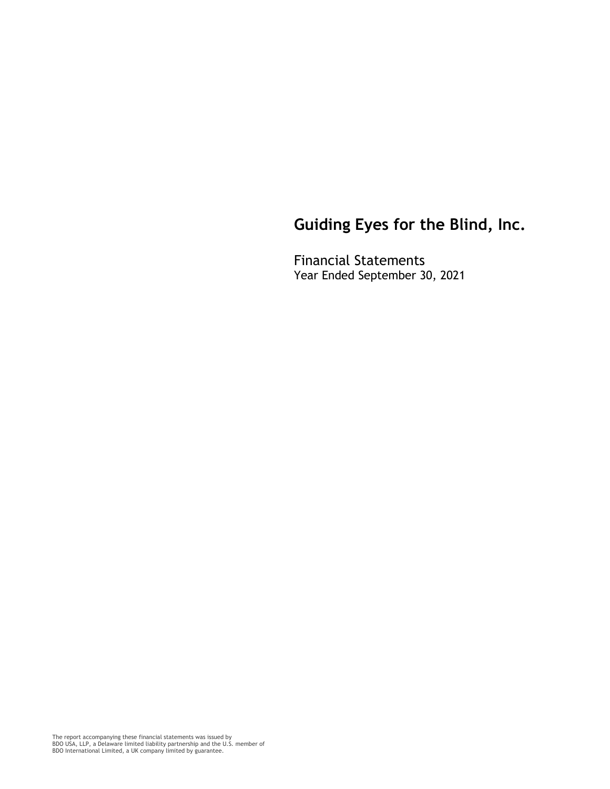Financial Statements Year Ended September 30, 2021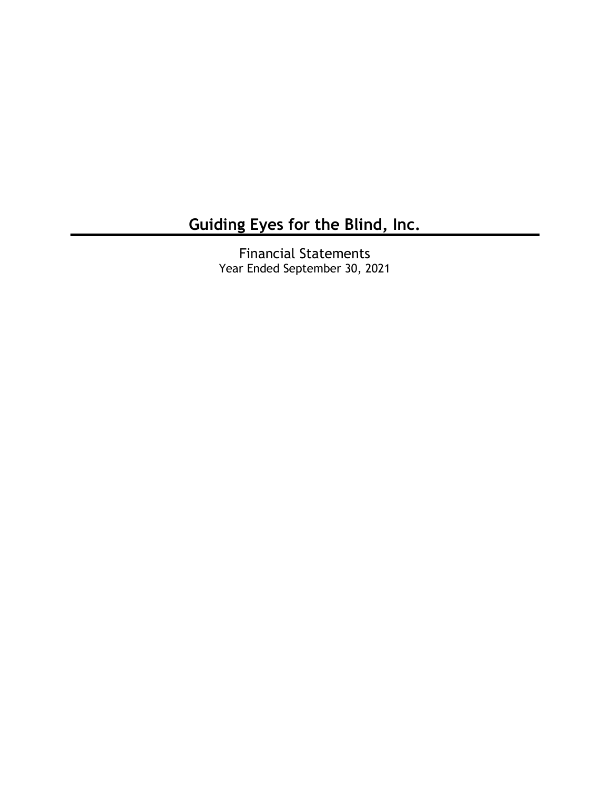Financial Statements Year Ended September 30, 2021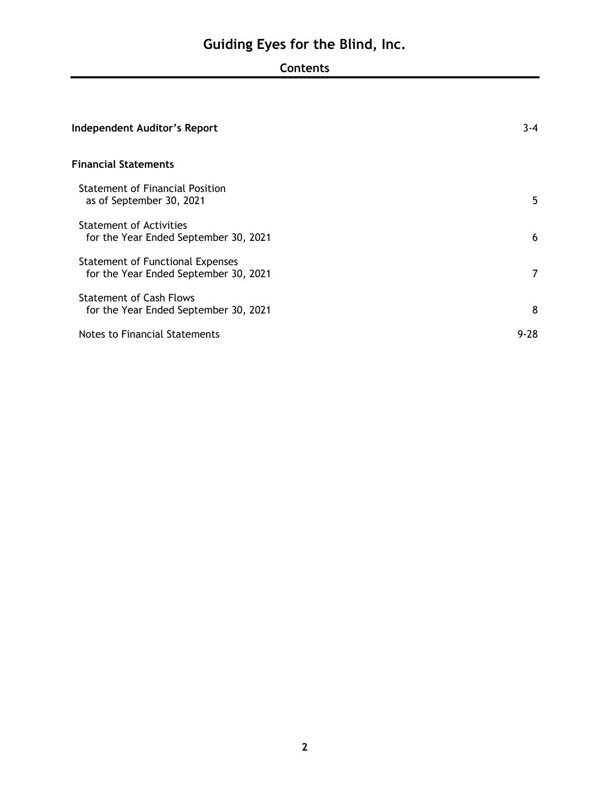# **Contents**

| <b>Independent Auditor's Report</b>                                       | $3 - 4$ |
|---------------------------------------------------------------------------|---------|
| <b>Financial Statements</b>                                               |         |
| <b>Statement of Financial Position</b><br>as of September 30, 2021        | 5       |
| <b>Statement of Activities</b><br>for the Year Ended September 30, 2021   | 6       |
| Statement of Functional Expenses<br>for the Year Ended September 30, 2021 | 7       |
| <b>Statement of Cash Flows</b><br>for the Year Ended September 30, 2021   | 8       |
| Notes to Financial Statements                                             | 9-28    |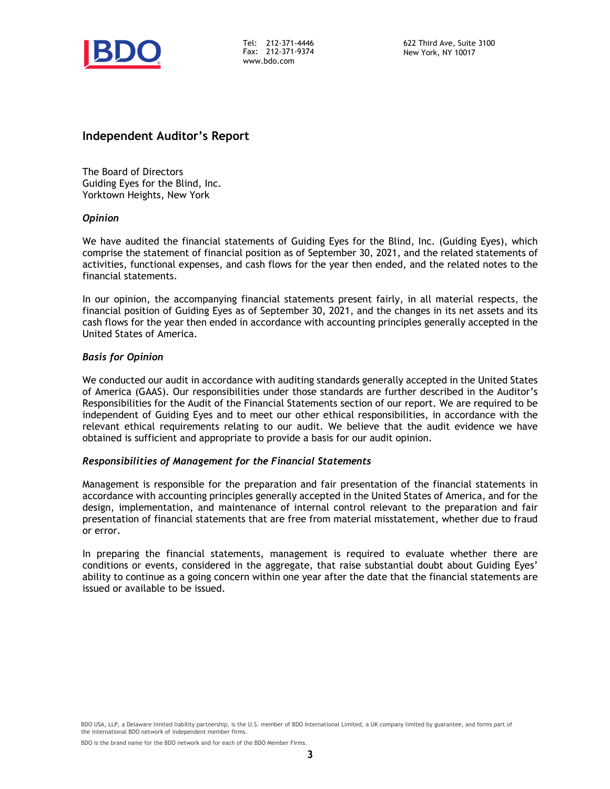

Tel: 212-371-4446 Fax: 212-371-9374 www.bdo.com

## **Independent Auditor's Report**

The Board of Directors Guiding Eyes for the Blind, Inc. Yorktown Heights, New York

#### *Opinion*

We have audited the financial statements of Guiding Eyes for the Blind, Inc. (Guiding Eyes), which comprise the statement of financial position as of September 30, 2021, and the related statements of activities, functional expenses, and cash flows for the year then ended, and the related notes to the financial statements.

In our opinion, the accompanying financial statements present fairly, in all material respects, the financial position of Guiding Eyes as of September 30, 2021, and the changes in its net assets and its cash flows for the year then ended in accordance with accounting principles generally accepted in the United States of America.

#### *Basis for Opinion*

We conducted our audit in accordance with auditing standards generally accepted in the United States of America (GAAS). Our responsibilities under those standards are further described in the Auditor's Responsibilities for the Audit of the Financial Statements section of our report. We are required to be independent of Guiding Eyes and to meet our other ethical responsibilities, in accordance with the relevant ethical requirements relating to our audit. We believe that the audit evidence we have obtained is sufficient and appropriate to provide a basis for our audit opinion.

#### *Responsibilities of Management for the Financial Statements*

Management is responsible for the preparation and fair presentation of the financial statements in accordance with accounting principles generally accepted in the United States of America, and for the design, implementation, and maintenance of internal control relevant to the preparation and fair presentation of financial statements that are free from material misstatement, whether due to fraud or error.

In preparing the financial statements, management is required to evaluate whether there are conditions or events, considered in the aggregate, that raise substantial doubt about Guiding Eyes' ability to continue as a going concern within one year after the date that the financial statements are issued or available to be issued.

BDO USA, LLP, a Delaware limited liability partnership, is the U.S. member of BDO International Limited, a UK company limited by guarantee, and forms part of the international BDO network of independent member firms.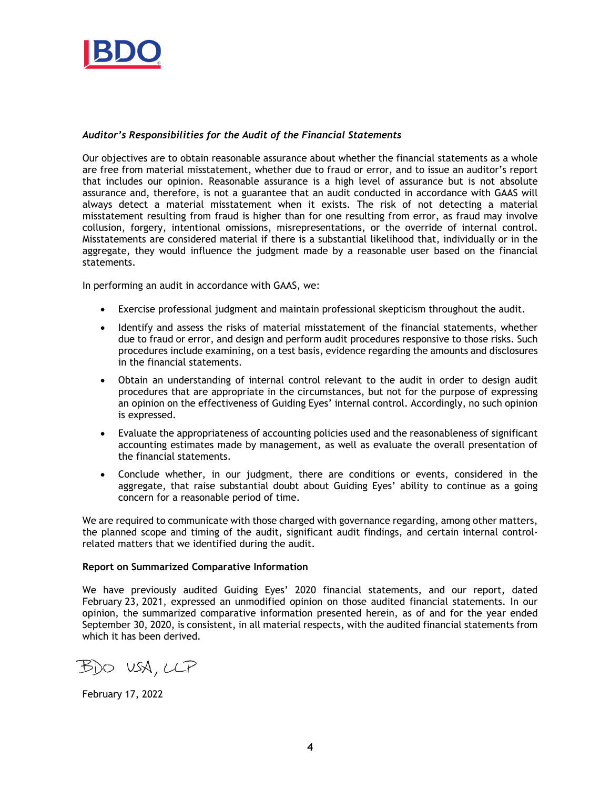

#### *Auditor's Responsibilities for the Audit of the Financial Statements*

Our objectives are to obtain reasonable assurance about whether the financial statements as a whole are free from material misstatement, whether due to fraud or error, and to issue an auditor's report that includes our opinion. Reasonable assurance is a high level of assurance but is not absolute assurance and, therefore, is not a guarantee that an audit conducted in accordance with GAAS will always detect a material misstatement when it exists. The risk of not detecting a material misstatement resulting from fraud is higher than for one resulting from error, as fraud may involve collusion, forgery, intentional omissions, misrepresentations, or the override of internal control. Misstatements are considered material if there is a substantial likelihood that, individually or in the aggregate, they would influence the judgment made by a reasonable user based on the financial statements.

In performing an audit in accordance with GAAS, we:

- Exercise professional judgment and maintain professional skepticism throughout the audit.
- Identify and assess the risks of material misstatement of the financial statements, whether due to fraud or error, and design and perform audit procedures responsive to those risks. Such procedures include examining, on a test basis, evidence regarding the amounts and disclosures in the financial statements.
- Obtain an understanding of internal control relevant to the audit in order to design audit procedures that are appropriate in the circumstances, but not for the purpose of expressing an opinion on the effectiveness of Guiding Eyes' internal control. Accordingly, no such opinion is expressed.
- Evaluate the appropriateness of accounting policies used and the reasonableness of significant accounting estimates made by management, as well as evaluate the overall presentation of the financial statements.
- Conclude whether, in our judgment, there are conditions or events, considered in the aggregate, that raise substantial doubt about Guiding Eyes' ability to continue as a going concern for a reasonable period of time.

We are required to communicate with those charged with governance regarding, among other matters, the planned scope and timing of the audit, significant audit findings, and certain internal controlrelated matters that we identified during the audit.

#### **Report on Summarized Comparative Information**

We have previously audited Guiding Eyes' 2020 financial statements, and our report, dated February 23, 2021, expressed an unmodified opinion on those audited financial statements. In our opinion, the summarized comparative information presented herein, as of and for the year ended September 30, 2020, is consistent, in all material respects, with the audited financial statements from which it has been derived.

 $B$ DO USA, LLP

February 17, 2022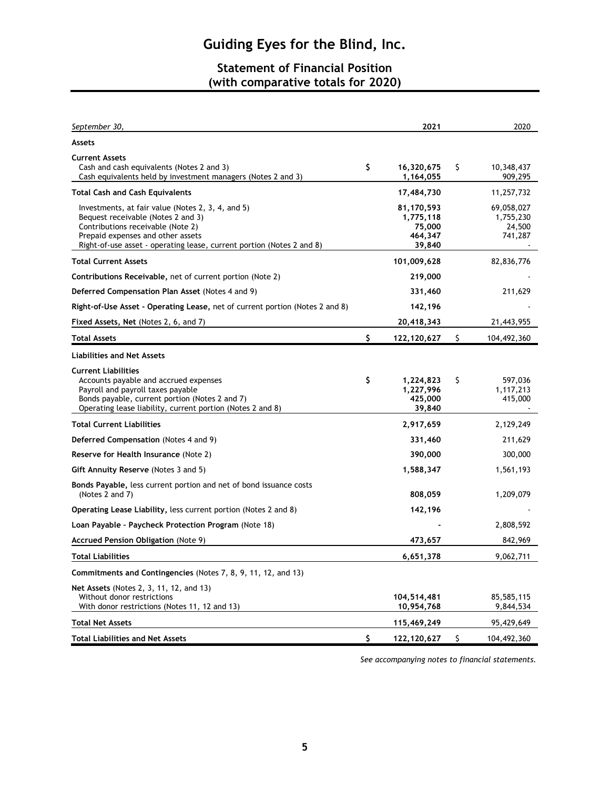## **Statement of Financial Position (with comparative totals for 2020)**

| September 30,                                                                                                                                                                                                                              | 2021                                                   | 2020                                         |
|--------------------------------------------------------------------------------------------------------------------------------------------------------------------------------------------------------------------------------------------|--------------------------------------------------------|----------------------------------------------|
| <b>Assets</b>                                                                                                                                                                                                                              |                                                        |                                              |
| <b>Current Assets</b><br>Cash and cash equivalents (Notes 2 and 3)<br>Cash equivalents held by investment managers (Notes 2 and 3)                                                                                                         | \$<br>16,320,675<br>1,164,055                          | \$<br>10,348,437<br>909,295                  |
| Total Cash and Cash Equivalents                                                                                                                                                                                                            | 17,484,730                                             | 11,257,732                                   |
| Investments, at fair value (Notes 2, 3, 4, and 5)<br>Bequest receivable (Notes 2 and 3)<br>Contributions receivable (Note 2)<br>Prepaid expenses and other assets<br>Right-of-use asset - operating lease, current portion (Notes 2 and 8) | 81,170,593<br>1,775,118<br>75,000<br>464,347<br>39,840 | 69,058,027<br>1,755,230<br>24,500<br>741,287 |
| <b>Total Current Assets</b>                                                                                                                                                                                                                | 101,009,628                                            | 82,836,776                                   |
| Contributions Receivable, net of current portion (Note 2)                                                                                                                                                                                  | 219,000                                                |                                              |
| Deferred Compensation Plan Asset (Notes 4 and 9)                                                                                                                                                                                           | 331,460                                                | 211,629                                      |
| Right-of-Use Asset - Operating Lease, net of current portion (Notes 2 and 8)                                                                                                                                                               | 142,196                                                |                                              |
| Fixed Assets, Net (Notes 2, 6, and 7)                                                                                                                                                                                                      | 20,418,343                                             | 21,443,955                                   |
| Total Assets                                                                                                                                                                                                                               | \$<br>122,120,627                                      | \$<br>104,492,360                            |
| <b>Liabilities and Net Assets</b>                                                                                                                                                                                                          |                                                        |                                              |
| <b>Current Liabilities</b><br>Accounts payable and accrued expenses<br>Payroll and payroll taxes payable<br>Bonds payable, current portion (Notes 2 and 7)<br>Operating lease liability, current portion (Notes 2 and 8)                   | \$<br>1,224,823<br>1,227,996<br>425,000<br>39,840      | \$<br>597,036<br>1,117,213<br>415,000        |
| <b>Total Current Liabilities</b>                                                                                                                                                                                                           | 2,917,659                                              | 2,129,249                                    |
| Deferred Compensation (Notes 4 and 9)                                                                                                                                                                                                      | 331,460                                                | 211,629                                      |
| Reserve for Health Insurance (Note 2)                                                                                                                                                                                                      | 390,000                                                | 300,000                                      |
| Gift Annuity Reserve (Notes 3 and 5)                                                                                                                                                                                                       | 1,588,347                                              | 1,561,193                                    |
| Bonds Payable, less current portion and net of bond issuance costs<br>(Notes 2 and 7)                                                                                                                                                      | 808,059                                                | 1,209,079                                    |
| Operating Lease Liability, less current portion (Notes 2 and 8)                                                                                                                                                                            | 142,196                                                |                                              |
| Loan Payable - Paycheck Protection Program (Note 18)                                                                                                                                                                                       |                                                        | 2,808,592                                    |
| Accrued Pension Obligation (Note 9)                                                                                                                                                                                                        | 473,657                                                | 842,969                                      |
| Total Liabilities                                                                                                                                                                                                                          | 6,651,378                                              | 9,062,711                                    |
| Commitments and Contingencies (Notes 7, 8, 9, 11, 12, and 13)                                                                                                                                                                              |                                                        |                                              |
| Net Assets (Notes 2, 3, 11, 12, and 13)<br>Without donor restrictions<br>With donor restrictions (Notes 11, 12 and 13)                                                                                                                     | 104,514,481<br>10,954,768                              | 85,585,115<br>9,844,534                      |
| Total Net Assets                                                                                                                                                                                                                           | 115,469,249                                            | 95,429,649                                   |
| <b>Total Liabilities and Net Assets</b>                                                                                                                                                                                                    | \$<br>122,120,627                                      | \$<br>104,492,360                            |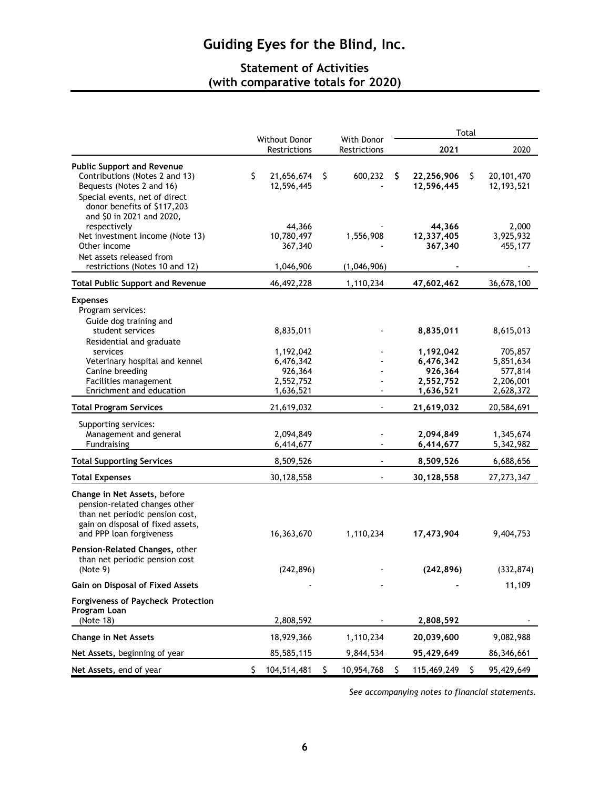## **Statement of Activities (with comparative totals for 2020)**

|                                                                                                                                                                   |                                                             |                            | Total |                                                             |    |                                                           |
|-------------------------------------------------------------------------------------------------------------------------------------------------------------------|-------------------------------------------------------------|----------------------------|-------|-------------------------------------------------------------|----|-----------------------------------------------------------|
|                                                                                                                                                                   | Without Donor<br>Restrictions                               | With Donor<br>Restrictions |       | 2021                                                        |    | 2020                                                      |
| <b>Public Support and Revenue</b><br>Contributions (Notes 2 and 13)<br>Bequests (Notes 2 and 16)<br>Special events, net of direct<br>donor benefits of \$117,203  | \$<br>21,656,674<br>12,596,445                              | \$<br>600,232              | \$    | 22,256,906<br>12,596,445                                    | \$ | 20, 101, 470<br>12, 193, 521                              |
| and \$0 in 2021 and 2020,<br>respectively<br>Net investment income (Note 13)<br>Other income<br>Net assets released from                                          | 44,366<br>10,780,497<br>367,340                             | 1,556,908                  |       | 44,366<br>12,337,405<br>367,340                             |    | 2,000<br>3,925,932<br>455,177                             |
| restrictions (Notes 10 and 12)                                                                                                                                    | 1,046,906                                                   | (1,046,906)                |       |                                                             |    |                                                           |
| <b>Total Public Support and Revenue</b>                                                                                                                           | 46,492,228                                                  | 1,110,234                  |       | 47,602,462                                                  |    | 36,678,100                                                |
| <b>Expenses</b><br>Program services:<br>Guide dog training and<br>student services                                                                                | 8,835,011                                                   |                            |       | 8,835,011                                                   |    | 8,615,013                                                 |
| Residential and graduate<br>services<br>Veterinary hospital and kennel<br>Canine breeding<br>Facilities management<br>Enrichment and education                    | 1,192,042<br>6,476,342<br>926,364<br>2,552,752<br>1,636,521 |                            |       | 1,192,042<br>6,476,342<br>926,364<br>2,552,752<br>1,636,521 |    | 705,857<br>5,851,634<br>577,814<br>2,206,001<br>2,628,372 |
| <b>Total Program Services</b>                                                                                                                                     | 21,619,032                                                  |                            |       | 21,619,032                                                  |    | 20,584,691                                                |
| Supporting services:<br>Management and general<br>Fundraising                                                                                                     | 2,094,849<br>6,414,677                                      |                            |       | 2,094,849<br>6,414,677                                      |    | 1,345,674<br>5,342,982                                    |
| <b>Total Supporting Services</b>                                                                                                                                  | 8,509,526                                                   |                            |       | 8,509,526                                                   |    | 6,688,656                                                 |
| <b>Total Expenses</b>                                                                                                                                             | 30,128,558                                                  |                            |       | 30,128,558                                                  |    | 27, 273, 347                                              |
| Change in Net Assets, before<br>pension-related changes other<br>than net periodic pension cost,<br>gain on disposal of fixed assets,<br>and PPP loan forgiveness | 16,363,670                                                  | 1,110,234                  |       | 17,473,904                                                  |    | 9,404,753                                                 |
| Pension-Related Changes, other<br>than net periodic pension cost<br>(Note 9)                                                                                      | (242, 896)                                                  |                            |       | (242, 896)                                                  |    | (332, 874)                                                |
| Gain on Disposal of Fixed Assets                                                                                                                                  |                                                             |                            |       |                                                             |    | 11,109                                                    |
| <b>Forgiveness of Paycheck Protection</b><br>Program Loan<br>(Note 18)                                                                                            | 2,808,592                                                   |                            |       | 2,808,592                                                   |    |                                                           |
| <b>Change in Net Assets</b>                                                                                                                                       | 18,929,366                                                  | 1,110,234                  |       | 20,039,600                                                  |    | 9,082,988                                                 |
| Net Assets, beginning of year                                                                                                                                     | 85,585,115                                                  | 9,844,534                  |       | 95,429,649                                                  |    | 86,346,661                                                |
| Net Assets, end of year                                                                                                                                           | 104,514,481<br>S                                            | 10,954,768                 | S     | 115,469,249                                                 | S  | 95,429,649                                                |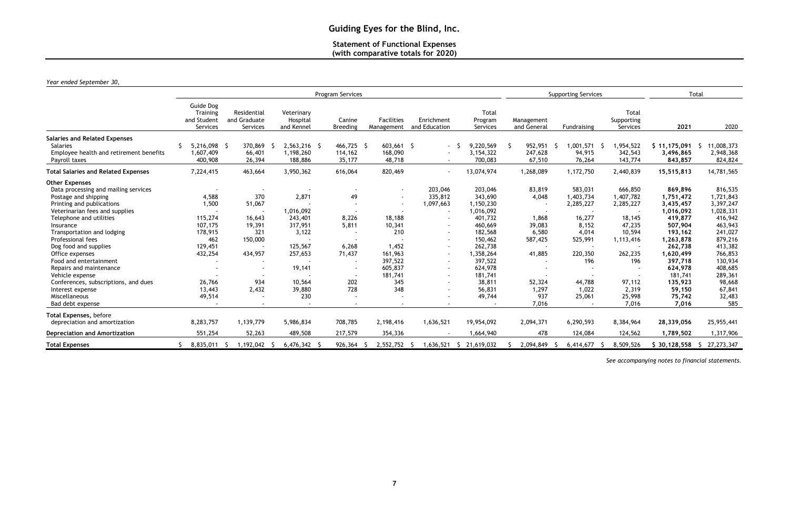## **Statement of Functional Expenses (with comparative totals for 2020)**

| Year ended September 30, |  |  |
|--------------------------|--|--|
|--------------------------|--|--|

|                                                                                                                                                                                                                                                                                                                                                                                                                                                                      | <b>Program Services</b>                                                                                                      |                                                                                |                                                                                                              |                                                                                   |                                                                                            |                                                                                                                                                                     | <b>Supporting Services</b>                                                                                                                                                      |                                                                                                     |                                                                                                                         | Total                                                                                                                                |                                                                                                                                                                                               |                                                                                                                                                                                        |
|----------------------------------------------------------------------------------------------------------------------------------------------------------------------------------------------------------------------------------------------------------------------------------------------------------------------------------------------------------------------------------------------------------------------------------------------------------------------|------------------------------------------------------------------------------------------------------------------------------|--------------------------------------------------------------------------------|--------------------------------------------------------------------------------------------------------------|-----------------------------------------------------------------------------------|--------------------------------------------------------------------------------------------|---------------------------------------------------------------------------------------------------------------------------------------------------------------------|---------------------------------------------------------------------------------------------------------------------------------------------------------------------------------|-----------------------------------------------------------------------------------------------------|-------------------------------------------------------------------------------------------------------------------------|--------------------------------------------------------------------------------------------------------------------------------------|-----------------------------------------------------------------------------------------------------------------------------------------------------------------------------------------------|----------------------------------------------------------------------------------------------------------------------------------------------------------------------------------------|
|                                                                                                                                                                                                                                                                                                                                                                                                                                                                      | Guide Dog<br>Training<br>and Student<br>Services                                                                             | Residential<br>and Graduate<br><b>Services</b>                                 | Veterinary<br>Hospital<br>and Kennel                                                                         | Canine<br><b>Breeding</b>                                                         | <b>Facilities</b><br>Management                                                            | Enrichment<br>and Education                                                                                                                                         | Total<br>Program<br>Services                                                                                                                                                    | Management<br>and General                                                                           | Fundraising                                                                                                             | Total<br>Supporting<br>Services                                                                                                      | 2021                                                                                                                                                                                          | 2020                                                                                                                                                                                   |
| <b>Salaries and Related Expenses</b><br><b>Salaries</b><br>Employee health and retirement benefits<br>Payroll taxes                                                                                                                                                                                                                                                                                                                                                  | 5,216,098 \$<br>1,607,409<br>400,908                                                                                         | 370,869<br>66,401<br>26,394                                                    | 2,563,216 \$<br>1,198,260<br>188,886                                                                         | 466,725 \$<br>114,162<br>35,177                                                   | $603,661$ \$<br>168,090<br>48,718                                                          | $\sim$<br>$\sim$<br>$\sim$                                                                                                                                          | 9,220,569<br>3, 154, 322<br>700,083                                                                                                                                             | 952,951<br>247,628<br>67,510                                                                        | ,001,571<br>-S<br>94,915<br>76,264                                                                                      | ,954,522<br>- S<br>342,543<br>143,774                                                                                                | \$11,175,091<br>3,496,865<br>843,857                                                                                                                                                          | 11,008,373<br>2,948,368<br>824,824                                                                                                                                                     |
| <b>Total Salaries and Related Expenses</b>                                                                                                                                                                                                                                                                                                                                                                                                                           | 7,224,415                                                                                                                    | 463,664                                                                        | 3,950,362                                                                                                    | 616,064                                                                           | 820,469                                                                                    | $\sim$                                                                                                                                                              | 13,074,974                                                                                                                                                                      | 1,268,089                                                                                           | 1,172,750                                                                                                               | 2,440,839                                                                                                                            | 15,515,813                                                                                                                                                                                    | 14,781,565                                                                                                                                                                             |
| <b>Other Expenses</b><br>Data processing and mailing services<br>Postage and shipping<br>Printing and publications<br>Veterinarian fees and supplies<br>Telephone and utilities<br>Insurance<br>Transportation and lodging<br>Professional fees<br>Dog food and supplies<br>Office expenses<br>Food and entertainment<br>Repairs and maintenance<br>Vehicle expense<br>Conferences, subscriptions, and dues<br>Interest expense<br>Miscellaneous<br>Bad debt expense | 4,588<br>1,500<br>$\overline{a}$<br>115,274<br>107,175<br>178,915<br>462<br>129,451<br>432,254<br>26,766<br>13,443<br>49,514 | 370<br>51,067<br>16,643<br>19,391<br>321<br>150,000<br>434,957<br>934<br>2,432 | 2,871<br>1,016,092<br>243,401<br>317,951<br>3,122<br>125,567<br>257,653<br>19,141<br>10,564<br>39,880<br>230 | 49<br>8,226<br>5,811<br>6,268<br>71,437<br>$\sim$<br>202<br>728<br>$\overline{a}$ | 18,188<br>10,341<br>210<br>1,452<br>161,963<br>397,522<br>605,837<br>181,741<br>345<br>348 | 203,046<br>335,812<br>1,097,663<br>$\sim$<br>$\overline{\phantom{a}}$<br>$\sim$<br>$\sim$<br>$\sim$<br>$\blacksquare$<br>$\blacksquare$<br>$\blacksquare$<br>$\sim$ | 203,046<br>343,690<br>1,150,230<br>1,016,092<br>401,732<br>460,669<br>182,568<br>150,462<br>262,738<br>1,358,264<br>397,522<br>624,978<br>181,741<br>38,811<br>56,831<br>49,744 | 83,819<br>4,048<br>1,868<br>39,083<br>6,580<br>587,425<br>41,885<br>52,324<br>1,297<br>937<br>7,016 | 583,031<br>1,403,734<br>2,285,227<br>16,277<br>8,152<br>4,014<br>525,991<br>220,350<br>196<br>44,788<br>1,022<br>25,061 | 666,850<br>1,407,782<br>2,285,227<br>18,145<br>47,235<br>10,594<br>1,113,416<br>262,235<br>196<br>97,112<br>2,319<br>25,998<br>7,016 | 869,896<br>1,751,472<br>3,435,457<br>1,016,092<br>419,877<br>507,904<br>193,162<br>1,263,878<br>262,738<br>1,620,499<br>397,718<br>624,978<br>181,741<br>135,923<br>59,150<br>75,742<br>7,016 | 816,535<br>1,721,843<br>3,397,247<br>1,028,331<br>416,942<br>463,943<br>241,027<br>879,216<br>413,382<br>766,853<br>130,934<br>408,685<br>289,361<br>98,668<br>67,841<br>32,483<br>585 |
| Total Expenses, before<br>depreciation and amortization                                                                                                                                                                                                                                                                                                                                                                                                              | 8,283,757                                                                                                                    | 1,139,779                                                                      | 5,986,834                                                                                                    | 708,785                                                                           | 2,198,416                                                                                  | 1,636,521                                                                                                                                                           | 19,954,092                                                                                                                                                                      | 2,094,371                                                                                           | 6,290,593                                                                                                               | 8,384,964                                                                                                                            | 28,339,056                                                                                                                                                                                    | 25,955,441                                                                                                                                                                             |
| <b>Depreciation and Amortization</b>                                                                                                                                                                                                                                                                                                                                                                                                                                 | 551,254                                                                                                                      | 52,263                                                                         | 489,508                                                                                                      | 217,579                                                                           | 354,336                                                                                    |                                                                                                                                                                     | 1,664,940                                                                                                                                                                       | 478                                                                                                 | 124,084                                                                                                                 | 124,562                                                                                                                              | 1,789,502                                                                                                                                                                                     | 1,317,906                                                                                                                                                                              |
| <b>Total Expenses</b>                                                                                                                                                                                                                                                                                                                                                                                                                                                | 8,835,011                                                                                                                    | 1,192,042 \$                                                                   | $6,476,342$ \$                                                                                               | 926,364                                                                           | 2,552,752 \$                                                                               |                                                                                                                                                                     | 1,636,521 \$ 21,619,032                                                                                                                                                         | 2,094,849                                                                                           | 6,414,677<br>- S                                                                                                        | 8,509,526<br>- S                                                                                                                     |                                                                                                                                                                                               | $$30,128,558 \quad $27,273,347$                                                                                                                                                        |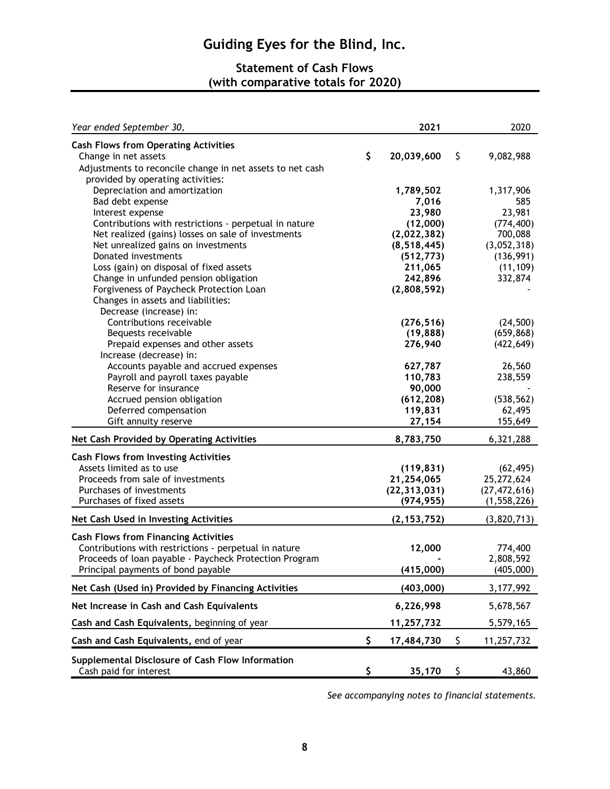## **Statement of Cash Flows (with comparative totals for 2020)**

| Year ended September 30,                                  | 2021             | 2020             |
|-----------------------------------------------------------|------------------|------------------|
| <b>Cash Flows from Operating Activities</b>               |                  |                  |
| Change in net assets                                      | \$<br>20,039,600 | \$<br>9,082,988  |
| Adjustments to reconcile change in net assets to net cash |                  |                  |
| provided by operating activities:                         |                  |                  |
| Depreciation and amortization                             | 1,789,502        | 1,317,906        |
| Bad debt expense                                          | 7,016            | 585              |
| Interest expense                                          | 23,980           | 23,981           |
| Contributions with restrictions - perpetual in nature     | (12,000)         | (774, 400)       |
| Net realized (gains) losses on sale of investments        | (2,022,382)      | 700,088          |
| Net unrealized gains on investments                       | (8, 518, 445)    | (3,052,318)      |
| Donated investments                                       | (512, 773)       | (136, 991)       |
| Loss (gain) on disposal of fixed assets                   | 211,065          | (11, 109)        |
| Change in unfunded pension obligation                     | 242,896          | 332,874          |
| Forgiveness of Paycheck Protection Loan                   | (2,808,592)      |                  |
| Changes in assets and liabilities:                        |                  |                  |
| Decrease (increase) in:                                   |                  |                  |
| Contributions receivable                                  | (276, 516)       | (24,500)         |
| Bequests receivable                                       | (19, 888)        | (659, 868)       |
| Prepaid expenses and other assets                         | 276,940          | (422, 649)       |
| Increase (decrease) in:                                   |                  |                  |
| Accounts payable and accrued expenses                     | 627,787          | 26,560           |
| Payroll and payroll taxes payable                         | 110,783          | 238,559          |
| Reserve for insurance                                     | 90,000           |                  |
| Accrued pension obligation                                | (612, 208)       | (538, 562)       |
| Deferred compensation                                     | 119,831          | 62,495           |
| Gift annuity reserve                                      | 27,154           | 155,649          |
| Net Cash Provided by Operating Activities                 | 8,783,750        | 6,321,288        |
| <b>Cash Flows from Investing Activities</b>               |                  |                  |
| Assets limited as to use                                  | (119, 831)       | (62, 495)        |
| Proceeds from sale of investments                         | 21,254,065       | 25,272,624       |
| Purchases of investments                                  | (22, 313, 031)   | (27, 472, 616)   |
| Purchases of fixed assets                                 | (974, 955)       | (1, 558, 226)    |
|                                                           |                  |                  |
| Net Cash Used in Investing Activities                     | (2, 153, 752)    | (3,820,713)      |
| <b>Cash Flows from Financing Activities</b>               |                  |                  |
| Contributions with restrictions - perpetual in nature     | 12,000           | 774,400          |
| Proceeds of loan payable - Paycheck Protection Program    |                  | 2,808,592        |
| Principal payments of bond payable                        | (415,000)        | (405,000)        |
| Net Cash (Used in) Provided by Financing Activities       | (403,000)        | 3, 177, 992      |
| Net Increase in Cash and Cash Equivalents                 | 6,226,998        | 5,678,567        |
| Cash and Cash Equivalents, beginning of year              | 11,257,732       | 5,579,165        |
| Cash and Cash Equivalents, end of year                    | \$<br>17,484,730 | \$<br>11,257,732 |
| Supplemental Disclosure of Cash Flow Information          |                  |                  |
| Cash paid for interest                                    | \$<br>35,170     | \$<br>43,860     |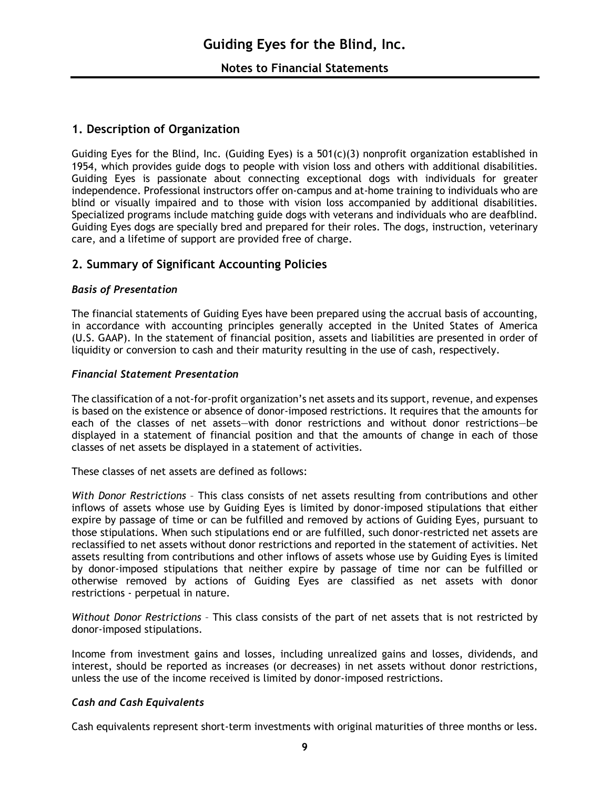## **1. Description of Organization**

Guiding Eyes for the Blind, Inc. (Guiding Eyes) is a  $501(c)(3)$  nonprofit organization established in 1954, which provides guide dogs to people with vision loss and others with additional disabilities. Guiding Eyes is passionate about connecting exceptional dogs with individuals for greater independence. Professional instructors offer on-campus and at-home training to individuals who are blind or visually impaired and to those with vision loss accompanied by additional disabilities. Specialized programs include matching guide dogs with veterans and individuals who are deafblind. Guiding Eyes dogs are specially bred and prepared for their roles. The dogs, instruction, veterinary care, and a lifetime of support are provided free of charge.

## **2. Summary of Significant Accounting Policies**

#### *Basis of Presentation*

The financial statements of Guiding Eyes have been prepared using the accrual basis of accounting, in accordance with accounting principles generally accepted in the United States of America (U.S. GAAP). In the statement of financial position, assets and liabilities are presented in order of liquidity or conversion to cash and their maturity resulting in the use of cash, respectively.

#### *Financial Statement Presentation*

The classification of a not-for-profit organization's net assets and its support, revenue, and expenses is based on the existence or absence of donor-imposed restrictions. It requires that the amounts for each of the classes of net assets—with donor restrictions and without donor restrictions—be displayed in a statement of financial position and that the amounts of change in each of those classes of net assets be displayed in a statement of activities.

These classes of net assets are defined as follows:

*With Donor Restrictions* – This class consists of net assets resulting from contributions and other inflows of assets whose use by Guiding Eyes is limited by donor-imposed stipulations that either expire by passage of time or can be fulfilled and removed by actions of Guiding Eyes, pursuant to those stipulations. When such stipulations end or are fulfilled, such donor-restricted net assets are reclassified to net assets without donor restrictions and reported in the statement of activities. Net assets resulting from contributions and other inflows of assets whose use by Guiding Eyes is limited by donor-imposed stipulations that neither expire by passage of time nor can be fulfilled or otherwise removed by actions of Guiding Eyes are classified as net assets with donor restrictions - perpetual in nature.

*Without Donor Restrictions* – This class consists of the part of net assets that is not restricted by donor-imposed stipulations.

Income from investment gains and losses, including unrealized gains and losses, dividends, and interest, should be reported as increases (or decreases) in net assets without donor restrictions, unless the use of the income received is limited by donor-imposed restrictions.

#### *Cash and Cash Equivalents*

Cash equivalents represent short-term investments with original maturities of three months or less.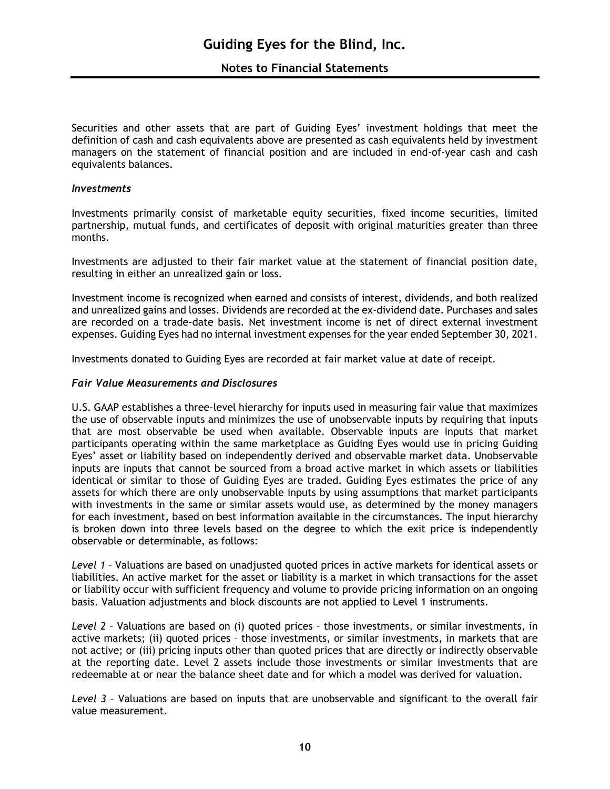Securities and other assets that are part of Guiding Eyes' investment holdings that meet the definition of cash and cash equivalents above are presented as cash equivalents held by investment managers on the statement of financial position and are included in end-of-year cash and cash equivalents balances.

#### *Investments*

Investments primarily consist of marketable equity securities, fixed income securities, limited partnership, mutual funds, and certificates of deposit with original maturities greater than three months.

Investments are adjusted to their fair market value at the statement of financial position date, resulting in either an unrealized gain or loss.

Investment income is recognized when earned and consists of interest, dividends, and both realized and unrealized gains and losses. Dividends are recorded at the ex-dividend date. Purchases and sales are recorded on a trade-date basis. Net investment income is net of direct external investment expenses. Guiding Eyes had no internal investment expenses for the year ended September 30, 2021.

Investments donated to Guiding Eyes are recorded at fair market value at date of receipt.

#### *Fair Value Measurements and Disclosures*

U.S. GAAP establishes a three-level hierarchy for inputs used in measuring fair value that maximizes the use of observable inputs and minimizes the use of unobservable inputs by requiring that inputs that are most observable be used when available. Observable inputs are inputs that market participants operating within the same marketplace as Guiding Eyes would use in pricing Guiding Eyes' asset or liability based on independently derived and observable market data. Unobservable inputs are inputs that cannot be sourced from a broad active market in which assets or liabilities identical or similar to those of Guiding Eyes are traded. Guiding Eyes estimates the price of any assets for which there are only unobservable inputs by using assumptions that market participants with investments in the same or similar assets would use, as determined by the money managers for each investment, based on best information available in the circumstances. The input hierarchy is broken down into three levels based on the degree to which the exit price is independently observable or determinable, as follows:

*Level 1* – Valuations are based on unadjusted quoted prices in active markets for identical assets or liabilities. An active market for the asset or liability is a market in which transactions for the asset or liability occur with sufficient frequency and volume to provide pricing information on an ongoing basis. Valuation adjustments and block discounts are not applied to Level 1 instruments.

*Level 2* – Valuations are based on (i) quoted prices – those investments, or similar investments, in active markets; (ii) quoted prices – those investments, or similar investments, in markets that are not active; or (iii) pricing inputs other than quoted prices that are directly or indirectly observable at the reporting date. Level 2 assets include those investments or similar investments that are redeemable at or near the balance sheet date and for which a model was derived for valuation.

*Level 3* – Valuations are based on inputs that are unobservable and significant to the overall fair value measurement.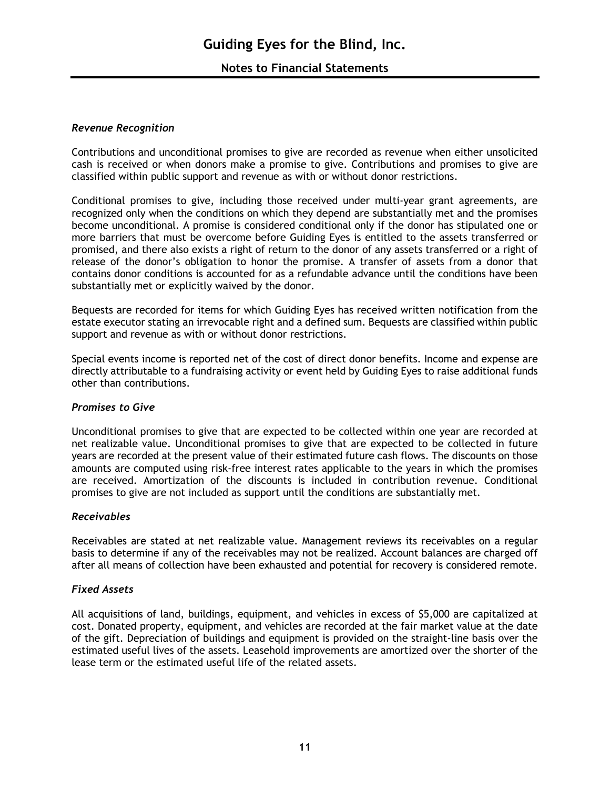## **Notes to Financial Statements**

#### *Revenue Recognition*

Contributions and unconditional promises to give are recorded as revenue when either unsolicited cash is received or when donors make a promise to give. Contributions and promises to give are classified within public support and revenue as with or without donor restrictions.

Conditional promises to give, including those received under multi-year grant agreements, are recognized only when the conditions on which they depend are substantially met and the promises become unconditional. A promise is considered conditional only if the donor has stipulated one or more barriers that must be overcome before Guiding Eyes is entitled to the assets transferred or promised, and there also exists a right of return to the donor of any assets transferred or a right of release of the donor's obligation to honor the promise. A transfer of assets from a donor that contains donor conditions is accounted for as a refundable advance until the conditions have been substantially met or explicitly waived by the donor.

Bequests are recorded for items for which Guiding Eyes has received written notification from the estate executor stating an irrevocable right and a defined sum. Bequests are classified within public support and revenue as with or without donor restrictions.

Special events income is reported net of the cost of direct donor benefits. Income and expense are directly attributable to a fundraising activity or event held by Guiding Eyes to raise additional funds other than contributions.

#### *Promises to Give*

Unconditional promises to give that are expected to be collected within one year are recorded at net realizable value. Unconditional promises to give that are expected to be collected in future years are recorded at the present value of their estimated future cash flows. The discounts on those amounts are computed using risk-free interest rates applicable to the years in which the promises are received. Amortization of the discounts is included in contribution revenue. Conditional promises to give are not included as support until the conditions are substantially met.

#### *Receivables*

Receivables are stated at net realizable value. Management reviews its receivables on a regular basis to determine if any of the receivables may not be realized. Account balances are charged off after all means of collection have been exhausted and potential for recovery is considered remote.

#### *Fixed Assets*

All acquisitions of land, buildings, equipment, and vehicles in excess of \$5,000 are capitalized at cost. Donated property, equipment, and vehicles are recorded at the fair market value at the date of the gift. Depreciation of buildings and equipment is provided on the straight-line basis over the estimated useful lives of the assets. Leasehold improvements are amortized over the shorter of the lease term or the estimated useful life of the related assets.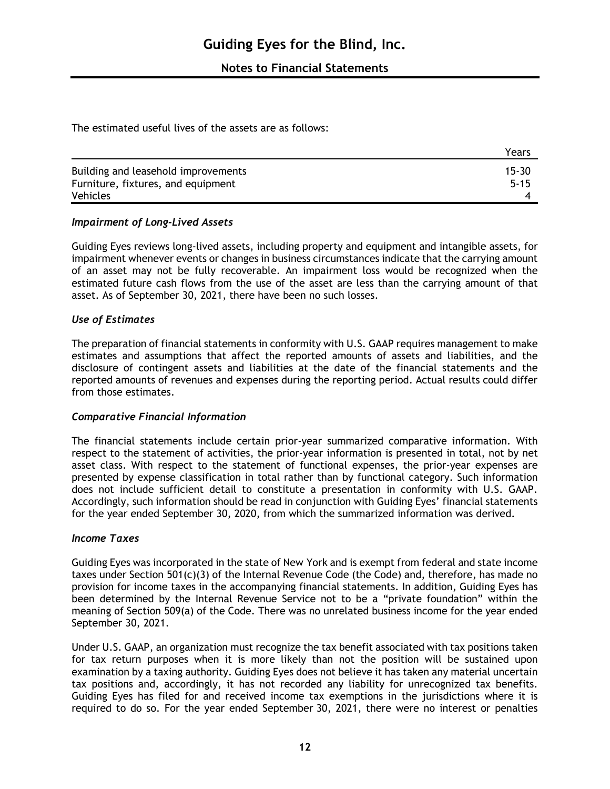The estimated useful lives of the assets are as follows:

|                                                                           | Years                 |
|---------------------------------------------------------------------------|-----------------------|
| Building and leasehold improvements<br>Furniture, fixtures, and equipment | $15 - 30$<br>$5 - 15$ |
| Vehicles                                                                  |                       |

## *Impairment of Long-Lived Assets*

Guiding Eyes reviews long-lived assets, including property and equipment and intangible assets, for impairment whenever events or changes in business circumstances indicate that the carrying amount of an asset may not be fully recoverable. An impairment loss would be recognized when the estimated future cash flows from the use of the asset are less than the carrying amount of that asset. As of September 30, 2021, there have been no such losses.

#### *Use of Estimates*

The preparation of financial statements in conformity with U.S. GAAP requires management to make estimates and assumptions that affect the reported amounts of assets and liabilities, and the disclosure of contingent assets and liabilities at the date of the financial statements and the reported amounts of revenues and expenses during the reporting period. Actual results could differ from those estimates.

#### *Comparative Financial Information*

The financial statements include certain prior-year summarized comparative information. With respect to the statement of activities, the prior-year information is presented in total, not by net asset class. With respect to the statement of functional expenses, the prior-year expenses are presented by expense classification in total rather than by functional category. Such information does not include sufficient detail to constitute a presentation in conformity with U.S. GAAP. Accordingly, such information should be read in conjunction with Guiding Eyes' financial statements for the year ended September 30, 2020, from which the summarized information was derived.

#### *Income Taxes*

Guiding Eyes was incorporated in the state of New York and is exempt from federal and state income taxes under Section 501(c)(3) of the Internal Revenue Code (the Code) and, therefore, has made no provision for income taxes in the accompanying financial statements. In addition, Guiding Eyes has been determined by the Internal Revenue Service not to be a "private foundation" within the meaning of Section 509(a) of the Code. There was no unrelated business income for the year ended September 30, 2021.

Under U.S. GAAP, an organization must recognize the tax benefit associated with tax positions taken for tax return purposes when it is more likely than not the position will be sustained upon examination by a taxing authority. Guiding Eyes does not believe it has taken any material uncertain tax positions and, accordingly, it has not recorded any liability for unrecognized tax benefits. Guiding Eyes has filed for and received income tax exemptions in the jurisdictions where it is required to do so. For the year ended September 30, 2021, there were no interest or penalties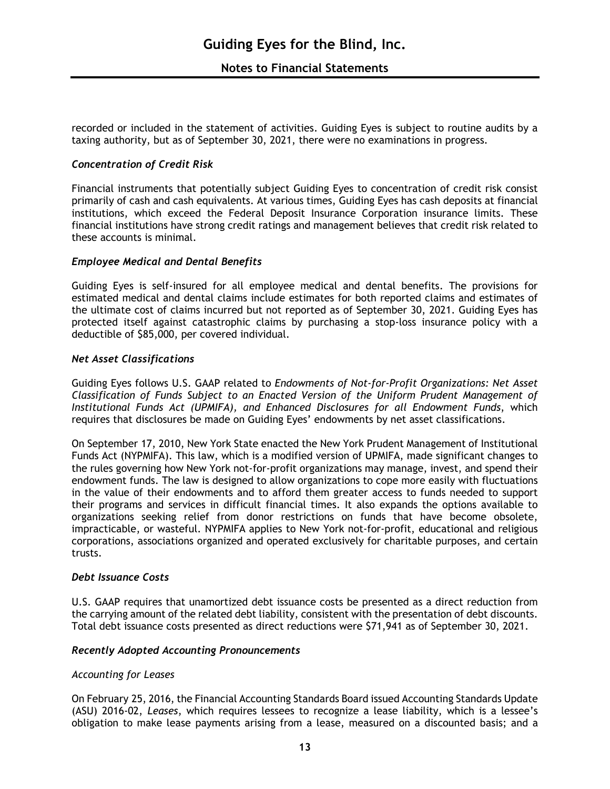recorded or included in the statement of activities. Guiding Eyes is subject to routine audits by a taxing authority, but as of September 30, 2021, there were no examinations in progress.

#### *Concentration of Credit Risk*

Financial instruments that potentially subject Guiding Eyes to concentration of credit risk consist primarily of cash and cash equivalents. At various times, Guiding Eyes has cash deposits at financial institutions, which exceed the Federal Deposit Insurance Corporation insurance limits. These financial institutions have strong credit ratings and management believes that credit risk related to these accounts is minimal.

#### *Employee Medical and Dental Benefits*

Guiding Eyes is self-insured for all employee medical and dental benefits. The provisions for estimated medical and dental claims include estimates for both reported claims and estimates of the ultimate cost of claims incurred but not reported as of September 30, 2021. Guiding Eyes has protected itself against catastrophic claims by purchasing a stop-loss insurance policy with a deductible of \$85,000, per covered individual.

#### *Net Asset Classifications*

Guiding Eyes follows U.S. GAAP related to *Endowments of Not-for-Profit Organizations: Net Asset Classification of Funds Subject to an Enacted Version of the Uniform Prudent Management of Institutional Funds Act (UPMIFA), and Enhanced Disclosures for all Endowment Funds*, which requires that disclosures be made on Guiding Eyes' endowments by net asset classifications.

On September 17, 2010, New York State enacted the New York Prudent Management of Institutional Funds Act (NYPMIFA). This law, which is a modified version of UPMIFA, made significant changes to the rules governing how New York not-for-profit organizations may manage, invest, and spend their endowment funds. The law is designed to allow organizations to cope more easily with fluctuations in the value of their endowments and to afford them greater access to funds needed to support their programs and services in difficult financial times. It also expands the options available to organizations seeking relief from donor restrictions on funds that have become obsolete, impracticable, or wasteful. NYPMIFA applies to New York not-for-profit, educational and religious corporations, associations organized and operated exclusively for charitable purposes, and certain trusts.

#### *Debt Issuance Costs*

U.S. GAAP requires that unamortized debt issuance costs be presented as a direct reduction from the carrying amount of the related debt liability, consistent with the presentation of debt discounts. Total debt issuance costs presented as direct reductions were \$71,941 as of September 30, 2021.

#### *Recently Adopted Accounting Pronouncements*

#### *Accounting for Leases*

On February 25, 2016, the Financial Accounting Standards Board issued Accounting Standards Update (ASU) 2016-02, *Leases*, which requires lessees to recognize a lease liability, which is a lessee's obligation to make lease payments arising from a lease, measured on a discounted basis; and a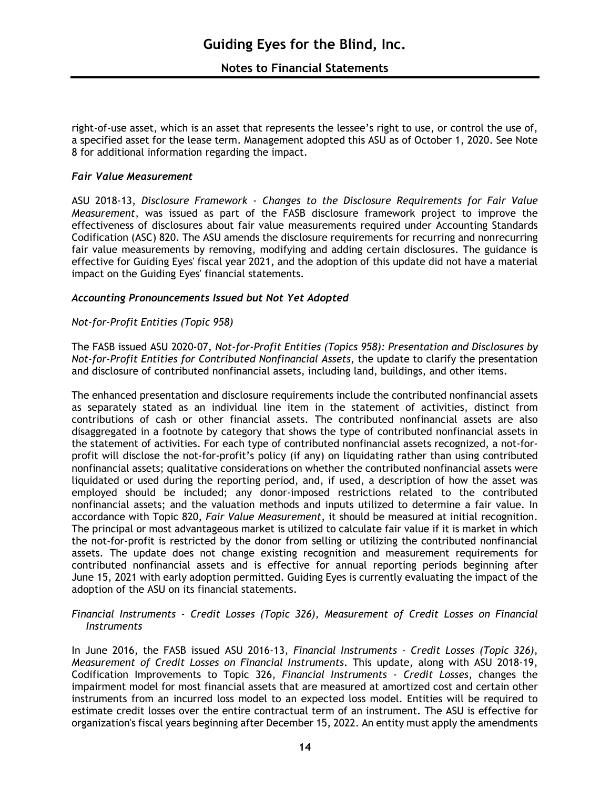right-of-use asset, which is an asset that represents the lessee's right to use, or control the use of, a specified asset for the lease term. Management adopted this ASU as of October 1, 2020. See Note 8 for additional information regarding the impact.

#### *Fair Value Measurement*

ASU 2018-13, *Disclosure Framework - Changes to the Disclosure Requirements for Fair Value Measurement*, was issued as part of the FASB disclosure framework project to improve the effectiveness of disclosures about fair value measurements required under Accounting Standards Codification (ASC) 820. The ASU amends the disclosure requirements for recurring and nonrecurring fair value measurements by removing, modifying and adding certain disclosures. The guidance is effective for Guiding Eyes' fiscal year 2021, and the adoption of this update did not have a material impact on the Guiding Eyes' financial statements.

#### *Accounting Pronouncements Issued but Not Yet Adopted*

#### *Not-for-Profit Entities (Topic 958)*

The FASB issued ASU 2020-07, *Not-for-Profit Entities (Topics 958): Presentation and Disclosures by Not-for-Profit Entities for Contributed Nonfinancial Assets*, the update to clarify the presentation and disclosure of contributed nonfinancial assets, including land, buildings, and other items.

The enhanced presentation and disclosure requirements include the contributed nonfinancial assets as separately stated as an individual line item in the statement of activities, distinct from contributions of cash or other financial assets. The contributed nonfinancial assets are also disaggregated in a footnote by category that shows the type of contributed nonfinancial assets in the statement of activities. For each type of contributed nonfinancial assets recognized, a not-forprofit will disclose the not-for-profit's policy (if any) on liquidating rather than using contributed nonfinancial assets; qualitative considerations on whether the contributed nonfinancial assets were liquidated or used during the reporting period, and, if used, a description of how the asset was employed should be included; any donor-imposed restrictions related to the contributed nonfinancial assets; and the valuation methods and inputs utilized to determine a fair value. In accordance with Topic 820, *Fair Value Measurement*, it should be measured at initial recognition. The principal or most advantageous market is utilized to calculate fair value if it is market in which the not-for-profit is restricted by the donor from selling or utilizing the contributed nonfinancial assets. The update does not change existing recognition and measurement requirements for contributed nonfinancial assets and is effective for annual reporting periods beginning after June 15, 2021 with early adoption permitted. Guiding Eyes is currently evaluating the impact of the adoption of the ASU on its financial statements.

#### *Financial Instruments - Credit Losses (Topic 326), Measurement of Credit Losses on Financial Instruments*

In June 2016, the FASB issued ASU 2016-13, *Financial Instruments - Credit Losses (Topic 326), Measurement of Credit Losses on Financial Instruments*. This update, along with ASU 2018-19, Codification Improvements to Topic 326, *Financial Instruments - Credit Losses*, changes the impairment model for most financial assets that are measured at amortized cost and certain other instruments from an incurred loss model to an expected loss model. Entities will be required to estimate credit losses over the entire contractual term of an instrument. The ASU is effective for organization's fiscal years beginning after December 15, 2022. An entity must apply the amendments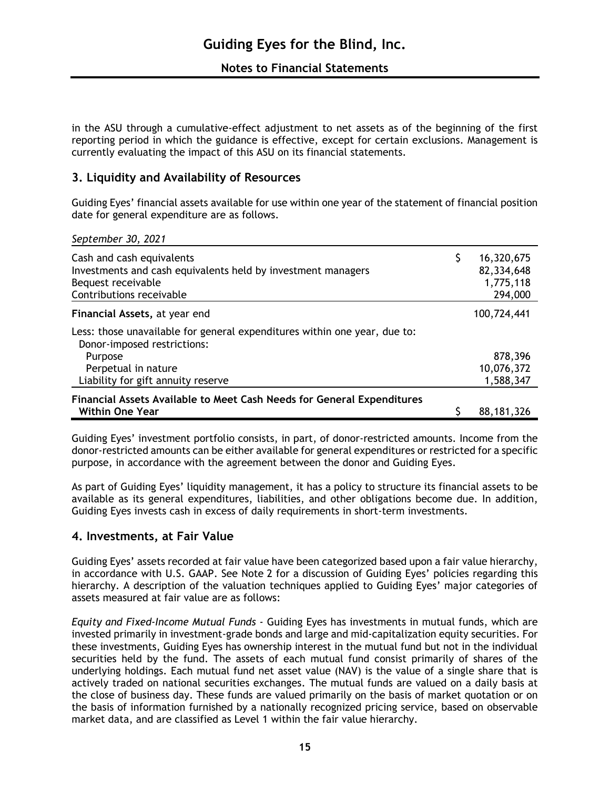in the ASU through a cumulative-effect adjustment to net assets as of the beginning of the first reporting period in which the guidance is effective, except for certain exclusions. Management is currently evaluating the impact of this ASU on its financial statements.

## **3. Liquidity and Availability of Resources**

Guiding Eyes' financial assets available for use within one year of the statement of financial position date for general expenditure are as follows.

*September 30, 2021*

| Cash and cash equivalents<br>Investments and cash equivalents held by investment managers<br>Bequest receivable<br>Contributions receivable | \$<br>16,320,675<br>82,334,648<br>1,775,118<br>294,000 |
|---------------------------------------------------------------------------------------------------------------------------------------------|--------------------------------------------------------|
| Financial Assets, at year end                                                                                                               | 100,724,441                                            |
| Less: those unavailable for general expenditures within one year, due to:<br>Donor-imposed restrictions:                                    |                                                        |
| Purpose                                                                                                                                     | 878,396                                                |
| Perpetual in nature                                                                                                                         | 10,076,372                                             |
| Liability for gift annuity reserve                                                                                                          | 1,588,347                                              |
| Financial Assets Available to Meet Cash Needs for General Expenditures                                                                      |                                                        |
| <b>Within One Year</b>                                                                                                                      | 88, 181, 326                                           |

Guiding Eyes' investment portfolio consists, in part, of donor-restricted amounts. Income from the donor-restricted amounts can be either available for general expenditures or restricted for a specific purpose, in accordance with the agreement between the donor and Guiding Eyes.

As part of Guiding Eyes' liquidity management, it has a policy to structure its financial assets to be available as its general expenditures, liabilities, and other obligations become due. In addition, Guiding Eyes invests cash in excess of daily requirements in short-term investments.

## **4. Investments, at Fair Value**

Guiding Eyes' assets recorded at fair value have been categorized based upon a fair value hierarchy, in accordance with U.S. GAAP. See Note 2 for a discussion of Guiding Eyes' policies regarding this hierarchy. A description of the valuation techniques applied to Guiding Eyes' major categories of assets measured at fair value are as follows:

*Equity and Fixed-Income Mutual Funds -* Guiding Eyes has investments in mutual funds, which are invested primarily in investment-grade bonds and large and mid-capitalization equity securities. For these investments, Guiding Eyes has ownership interest in the mutual fund but not in the individual securities held by the fund. The assets of each mutual fund consist primarily of shares of the underlying holdings. Each mutual fund net asset value (NAV) is the value of a single share that is actively traded on national securities exchanges. The mutual funds are valued on a daily basis at the close of business day. These funds are valued primarily on the basis of market quotation or on the basis of information furnished by a nationally recognized pricing service, based on observable market data, and are classified as Level 1 within the fair value hierarchy.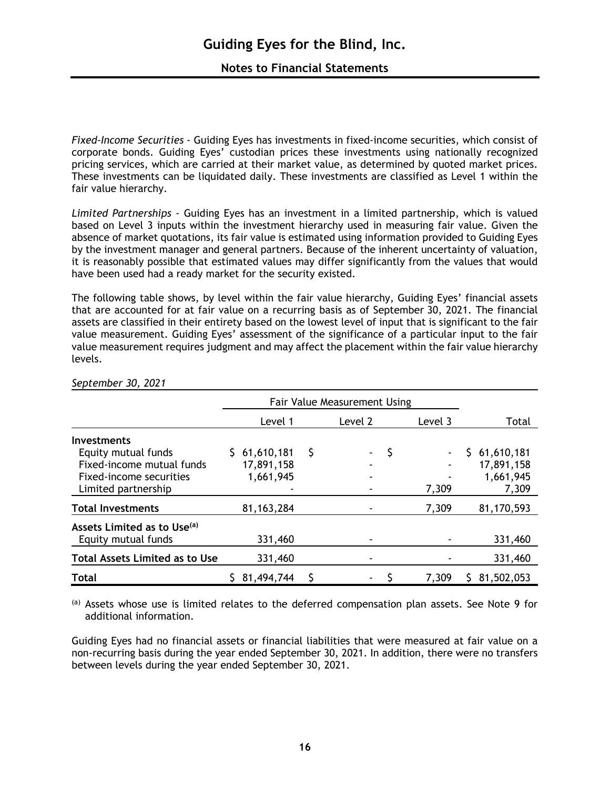*Fixed-Income Securities -* Guiding Eyes has investments in fixed-income securities, which consist of corporate bonds. Guiding Eyes' custodian prices these investments using nationally recognized pricing services, which are carried at their market value, as determined by quoted market prices. These investments can be liquidated daily. These investments are classified as Level 1 within the fair value hierarchy.

*Limited Partnerships -* Guiding Eyes has an investment in a limited partnership, which is valued based on Level 3 inputs within the investment hierarchy used in measuring fair value. Given the absence of market quotations, its fair value is estimated using information provided to Guiding Eyes by the investment manager and general partners. Because of the inherent uncertainty of valuation, it is reasonably possible that estimated values may differ significantly from the values that would have been used had a ready market for the security existed.

The following table shows, by level within the fair value hierarchy, Guiding Eyes' financial assets that are accounted for at fair value on a recurring basis as of September 30, 2021. The financial assets are classified in their entirety based on the lowest level of input that is significant to the fair value measurement. Guiding Eyes' assessment of the significance of a particular input to the fair value measurement requires judgment and may affect the placement within the fair value hierarchy levels.

|                                         | Fair Value Measurement Using |   |         |   |                |              |
|-----------------------------------------|------------------------------|---|---------|---|----------------|--------------|
|                                         | Level 1                      |   | Level 2 |   | Level 3        | Total        |
| <b>Investments</b>                      |                              |   |         |   |                |              |
| Equity mutual funds                     | \$61,610,181                 | S |         | S | $\blacksquare$ | \$61,610,181 |
| Fixed-income mutual funds               | 17,891,158                   |   |         |   |                | 17,891,158   |
| Fixed-income securities                 | 1,661,945                    |   |         |   |                | 1,661,945    |
| Limited partnership                     |                              |   |         |   | 7,309          | 7,309        |
| <b>Total Investments</b>                | 81, 163, 284                 |   |         |   | 7,309          | 81,170,593   |
| Assets Limited as to Use <sup>(a)</sup> |                              |   |         |   |                |              |
| Equity mutual funds                     | 331,460                      |   |         |   |                | 331,460      |
| <b>Total Assets Limited as to Use</b>   | 331,460                      |   |         |   |                | 331,460      |
| <b>Total</b>                            | 81,494,744                   | S |         |   | 7,309          | 81,502,053   |

#### *September 30, 2021*

(a) Assets whose use is limited relates to the deferred compensation plan assets. See Note 9 for additional information.

Guiding Eyes had no financial assets or financial liabilities that were measured at fair value on a non-recurring basis during the year ended September 30, 2021. In addition, there were no transfers between levels during the year ended September 30, 2021.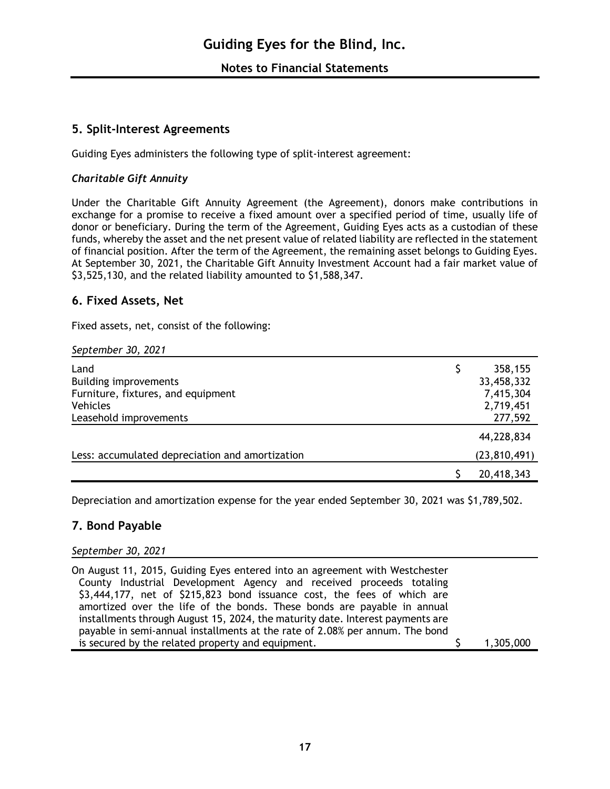## **5. Split-Interest Agreements**

Guiding Eyes administers the following type of split-interest agreement:

## *Charitable Gift Annuity*

Under the Charitable Gift Annuity Agreement (the Agreement), donors make contributions in exchange for a promise to receive a fixed amount over a specified period of time, usually life of donor or beneficiary. During the term of the Agreement, Guiding Eyes acts as a custodian of these funds, whereby the asset and the net present value of related liability are reflected in the statement of financial position. After the term of the Agreement, the remaining asset belongs to Guiding Eyes. At September 30, 2021, the Charitable Gift Annuity Investment Account had a fair market value of \$3,525,130, and the related liability amounted to \$1,588,347.

## **6. Fixed Assets, Net**

Fixed assets, net, consist of the following:

#### *September 30, 2021*

| Land                                            | 358,155        |
|-------------------------------------------------|----------------|
| <b>Building improvements</b>                    | 33,458,332     |
| Furniture, fixtures, and equipment              | 7,415,304      |
| <b>Vehicles</b>                                 | 2,719,451      |
| Leasehold improvements                          | 277,592        |
|                                                 | 44,228,834     |
| Less: accumulated depreciation and amortization | (23, 810, 491) |
|                                                 | 20,418,343     |

Depreciation and amortization expense for the year ended September 30, 2021 was \$1,789,502.

## **7. Bond Payable**

#### *September 30, 2021*

On August 11, 2015, Guiding Eyes entered into an agreement with Westchester County Industrial Development Agency and received proceeds totaling \$3,444,177, net of \$215,823 bond issuance cost, the fees of which are amortized over the life of the bonds. These bonds are payable in annual installments through August 15, 2024, the maturity date. Interest payments are payable in semi-annual installments at the rate of 2.08% per annum. The bond is secured by the related property and equipment. \$ 1,305,000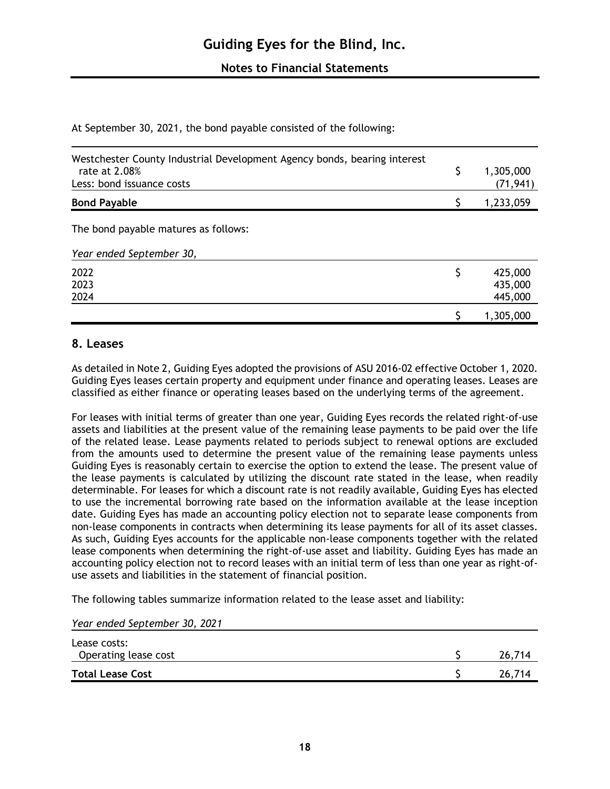At September 30, 2021, the bond payable consisted of the following:

| Westchester County Industrial Development Agency bonds, bearing interest<br>rate at 2.08%<br>Less: bond issuance costs | 1,305,000<br>(71, 941)        |
|------------------------------------------------------------------------------------------------------------------------|-------------------------------|
| <b>Bond Payable</b>                                                                                                    | 1,233,059                     |
| The bond payable matures as follows:                                                                                   |                               |
| Year ended September 30,                                                                                               |                               |
| 2022<br>2023<br>2024                                                                                                   | 425,000<br>435,000<br>445,000 |
|                                                                                                                        | 1,305,000                     |

## **8. Leases**

As detailed in Note 2, Guiding Eyes adopted the provisions of ASU 2016-02 effective October 1, 2020. Guiding Eyes leases certain property and equipment under finance and operating leases. Leases are classified as either finance or operating leases based on the underlying terms of the agreement.

For leases with initial terms of greater than one year, Guiding Eyes records the related right-of-use assets and liabilities at the present value of the remaining lease payments to be paid over the life of the related lease. Lease payments related to periods subject to renewal options are excluded from the amounts used to determine the present value of the remaining lease payments unless Guiding Eyes is reasonably certain to exercise the option to extend the lease. The present value of the lease payments is calculated by utilizing the discount rate stated in the lease, when readily determinable. For leases for which a discount rate is not readily available, Guiding Eyes has elected to use the incremental borrowing rate based on the information available at the lease inception date. Guiding Eyes has made an accounting policy election not to separate lease components from non-lease components in contracts when determining its lease payments for all of its asset classes. As such, Guiding Eyes accounts for the applicable non-lease components together with the related lease components when determining the right-of-use asset and liability. Guiding Eyes has made an accounting policy election not to record leases with an initial term of less than one year as right-ofuse assets and liabilities in the statement of financial position.

The following tables summarize information related to the lease asset and liability:

| Lease costs:            |        |
|-------------------------|--------|
| Operating lease cost    | 26,714 |
| <b>Total Lease Cost</b> | 26,714 |
|                         |        |

*Year ended September 30, 2021*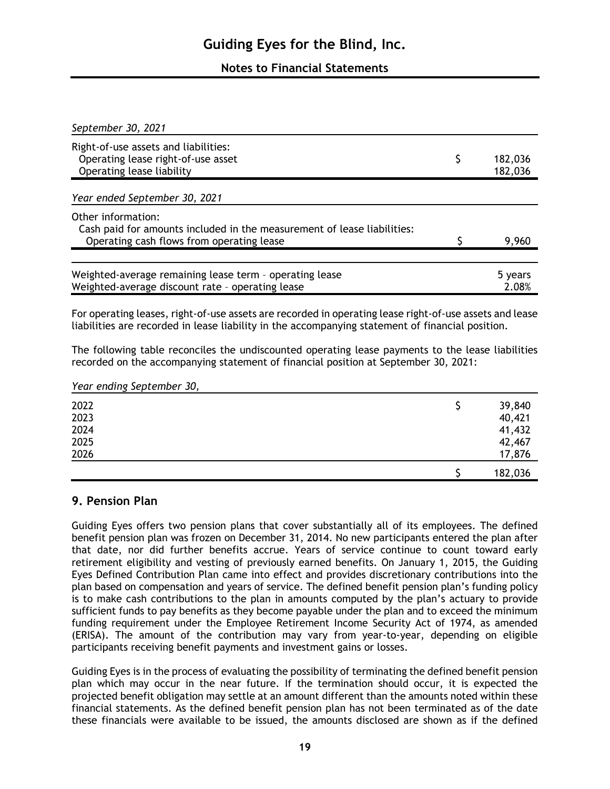## **Notes to Financial Statements**

| September 30, 2021                                                                                          |                          |
|-------------------------------------------------------------------------------------------------------------|--------------------------|
| Right-of-use assets and liabilities:                                                                        |                          |
| Operating lease right-of-use asset<br>Operating lease liability                                             | \$<br>182,036<br>182,036 |
| Year ended September 30, 2021                                                                               |                          |
| Other information:<br>Cash paid for amounts included in the measurement of lease liabilities:               |                          |
| Operating cash flows from operating lease                                                                   | 9,960                    |
|                                                                                                             |                          |
| Weighted-average remaining lease term - operating lease<br>Weighted-average discount rate - operating lease | 5 years<br>2.08%         |

For operating leases, right-of-use assets are recorded in operating lease right-of-use assets and lease liabilities are recorded in lease liability in the accompanying statement of financial position.

The following table reconciles the undiscounted operating lease payments to the lease liabilities recorded on the accompanying statement of financial position at September 30, 2021:

*Year ending September 30,*

| 2022<br>2023<br>2024<br>2025<br>2026 | 39,840<br>40,421<br>41,432<br>42,467<br>17,876 |
|--------------------------------------|------------------------------------------------|
|                                      |                                                |
|                                      | 182,036                                        |

## **9. Pension Plan**

Guiding Eyes offers two pension plans that cover substantially all of its employees. The defined benefit pension plan was frozen on December 31, 2014. No new participants entered the plan after that date, nor did further benefits accrue. Years of service continue to count toward early retirement eligibility and vesting of previously earned benefits. On January 1, 2015, the Guiding Eyes Defined Contribution Plan came into effect and provides discretionary contributions into the plan based on compensation and years of service. The defined benefit pension plan's funding policy is to make cash contributions to the plan in amounts computed by the plan's actuary to provide sufficient funds to pay benefits as they become payable under the plan and to exceed the minimum funding requirement under the Employee Retirement Income Security Act of 1974, as amended (ERISA). The amount of the contribution may vary from year-to-year, depending on eligible participants receiving benefit payments and investment gains or losses.

Guiding Eyes is in the process of evaluating the possibility of terminating the defined benefit pension plan which may occur in the near future. If the termination should occur, it is expected the projected benefit obligation may settle at an amount different than the amounts noted within these financial statements. As the defined benefit pension plan has not been terminated as of the date these financials were available to be issued, the amounts disclosed are shown as if the defined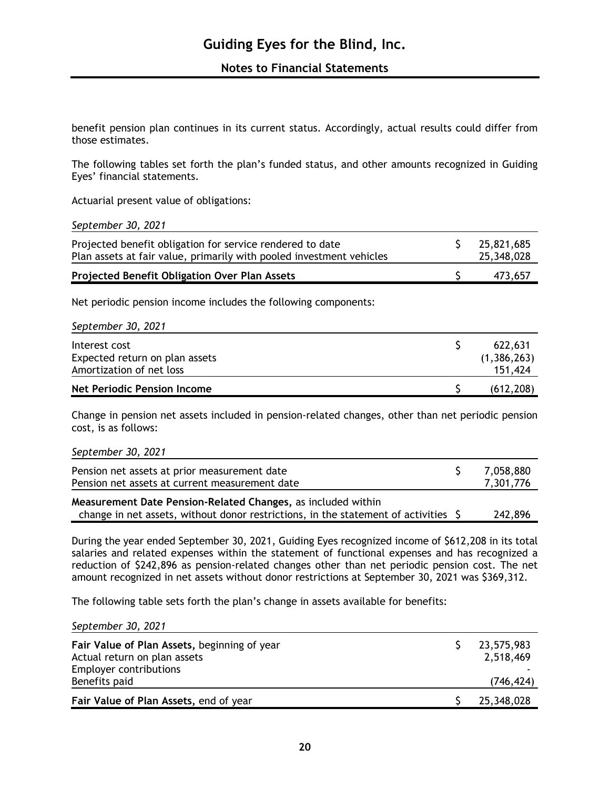**Notes to Financial Statements**

benefit pension plan continues in its current status. Accordingly, actual results could differ from those estimates.

The following tables set forth the plan's funded status, and other amounts recognized in Guiding Eyes' financial statements.

Actuarial present value of obligations:

*September 30, 2021*

| Projected benefit obligation for service rendered to date<br>Plan assets at fair value, primarily with pooled investment vehicles | 25,821,685<br>25,348,028 |
|-----------------------------------------------------------------------------------------------------------------------------------|--------------------------|
| Projected Benefit Obligation Over Plan Assets                                                                                     | 473.657                  |

Net periodic pension income includes the following components:

| September 30, 2021             |             |
|--------------------------------|-------------|
| Interest cost                  | 622,631     |
| Expected return on plan assets | (1,386,263) |
| Amortization of net loss       | 151,424     |
| Net Periodic Pension Income    | (612, 208)  |

Change in pension net assets included in pension-related changes, other than net periodic pension cost, is as follows:

| September 30, 2021 |  |
|--------------------|--|
|--------------------|--|

| Pension net assets at prior measurement date<br>Pension net assets at current measurement date | 7,058,880<br>7,301,776 |
|------------------------------------------------------------------------------------------------|------------------------|
| Measurement Date Pension-Related Changes, as included within                                   | 242.001                |

change in net assets, without donor restrictions, in the statement of activities \$ 242,896

During the year ended September 30, 2021, Guiding Eyes recognized income of \$612,208 in its total salaries and related expenses within the statement of functional expenses and has recognized a reduction of \$242,896 as pension-related changes other than net periodic pension cost. The net amount recognized in net assets without donor restrictions at September 30, 2021 was \$369,312.

The following table sets forth the plan's change in assets available for benefits:

*September 30, 2021*

| Fair Value of Plan Assets, beginning of year<br>Actual return on plan assets<br><b>Employer contributions</b><br>Benefits paid | 23,575,983<br>2,518,469<br>(746, 424) |
|--------------------------------------------------------------------------------------------------------------------------------|---------------------------------------|
| Fair Value of Plan Assets, end of year                                                                                         | 25,348,028                            |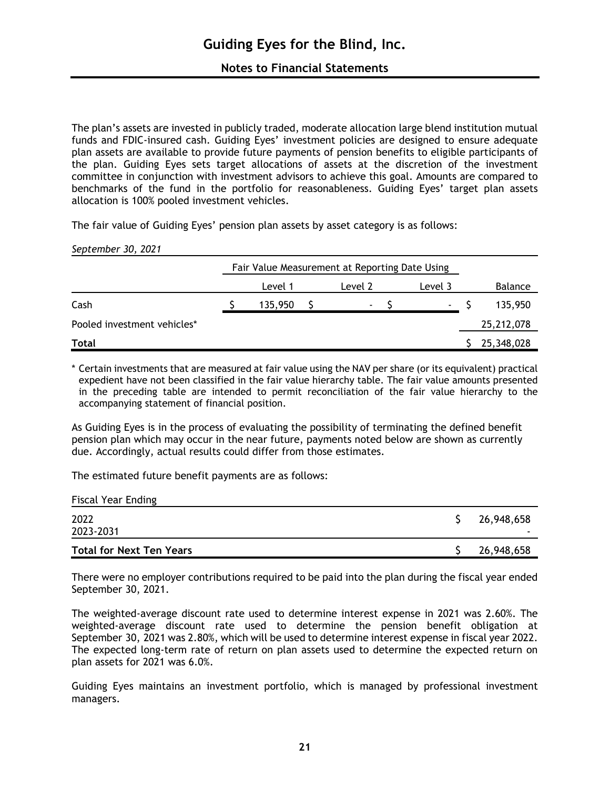The plan's assets are invested in publicly traded, moderate allocation large blend institution mutual funds and FDIC-insured cash. Guiding Eyes' investment policies are designed to ensure adequate plan assets are available to provide future payments of pension benefits to eligible participants of the plan. Guiding Eyes sets target allocations of assets at the discretion of the investment committee in conjunction with investment advisors to achieve this goal. Amounts are compared to benchmarks of the fund in the portfolio for reasonableness. Guiding Eyes' target plan assets allocation is 100% pooled investment vehicles.

The fair value of Guiding Eyes' pension plan assets by asset category is as follows:

#### *September 30, 2021*

|                             | Fair Value Measurement at Reporting Date Using |  |                |  |         |  |            |
|-----------------------------|------------------------------------------------|--|----------------|--|---------|--|------------|
|                             | Level 1                                        |  | Level 2        |  | Level 3 |  | Balance    |
| Cash                        | 135,950                                        |  | $\blacksquare$ |  | ٠       |  | 135,950    |
| Pooled investment vehicles* |                                                |  |                |  |         |  | 25,212,078 |
| <b>Total</b>                |                                                |  |                |  |         |  | 25,348,028 |

\* Certain investments that are measured at fair value using the NAV per share (or its equivalent) practical expedient have not been classified in the fair value hierarchy table. The fair value amounts presented in the preceding table are intended to permit reconciliation of the fair value hierarchy to the accompanying statement of financial position.

As Guiding Eyes is in the process of evaluating the possibility of terminating the defined benefit pension plan which may occur in the near future, payments noted below are shown as currently due. Accordingly, actual results could differ from those estimates.

The estimated future benefit payments are as follows:

| <b>Fiscal Year Ending</b>       |  |                 |  |  |  |  |  |
|---------------------------------|--|-----------------|--|--|--|--|--|
| 2022<br>2023-2031               |  | 26,948,658<br>- |  |  |  |  |  |
| <b>Total for Next Ten Years</b> |  | 26,948,658      |  |  |  |  |  |

There were no employer contributions required to be paid into the plan during the fiscal year ended September 30, 2021.

The weighted-average discount rate used to determine interest expense in 2021 was 2.60%. The weighted-average discount rate used to determine the pension benefit obligation at September 30, 2021 was 2.80%, which will be used to determine interest expense in fiscal year 2022. The expected long-term rate of return on plan assets used to determine the expected return on plan assets for 2021 was 6.0%.

Guiding Eyes maintains an investment portfolio, which is managed by professional investment managers.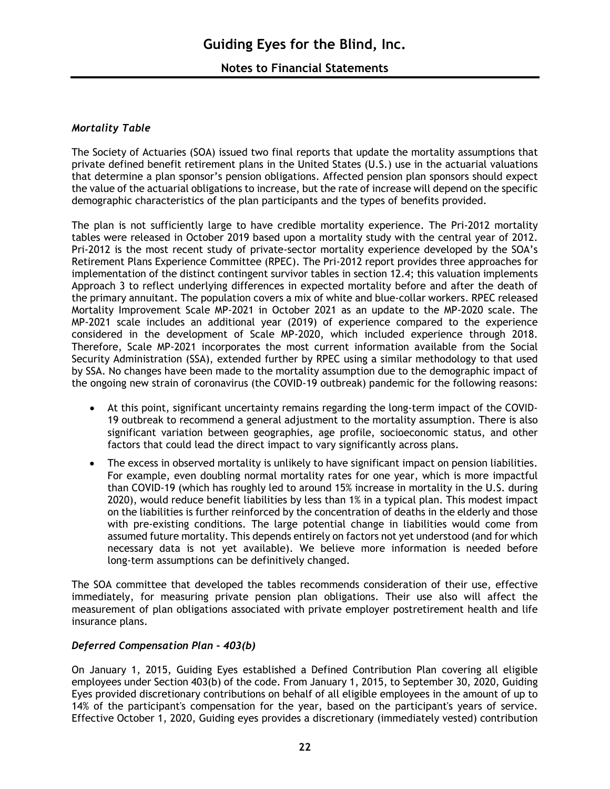## **Notes to Financial Statements**

#### *Mortality Table*

The Society of Actuaries (SOA) issued two final reports that update the mortality assumptions that private defined benefit retirement plans in the United States (U.S.) use in the actuarial valuations that determine a plan sponsor's pension obligations. Affected pension plan sponsors should expect the value of the actuarial obligations to increase, but the rate of increase will depend on the specific demographic characteristics of the plan participants and the types of benefits provided.

The plan is not sufficiently large to have credible mortality experience. The Pri-2012 mortality tables were released in October 2019 based upon a mortality study with the central year of 2012. Pri-2012 is the most recent study of private-sector mortality experience developed by the SOA's Retirement Plans Experience Committee (RPEC). The Pri-2012 report provides three approaches for implementation of the distinct contingent survivor tables in section 12.4; this valuation implements Approach 3 to reflect underlying differences in expected mortality before and after the death of the primary annuitant. The population covers a mix of white and blue-collar workers. RPEC released Mortality Improvement Scale MP-2021 in October 2021 as an update to the MP-2020 scale. The MP-2021 scale includes an additional year (2019) of experience compared to the experience considered in the development of Scale MP-2020, which included experience through 2018. Therefore, Scale MP-2021 incorporates the most current information available from the Social Security Administration (SSA), extended further by RPEC using a similar methodology to that used by SSA. No changes have been made to the mortality assumption due to the demographic impact of the ongoing new strain of coronavirus (the COVID-19 outbreak) pandemic for the following reasons:

- At this point, significant uncertainty remains regarding the long-term impact of the COVID-19 outbreak to recommend a general adjustment to the mortality assumption. There is also significant variation between geographies, age profile, socioeconomic status, and other factors that could lead the direct impact to vary significantly across plans.
- The excess in observed mortality is unlikely to have significant impact on pension liabilities. For example, even doubling normal mortality rates for one year, which is more impactful than COVID-19 (which has roughly led to around 15% increase in mortality in the U.S. during 2020), would reduce benefit liabilities by less than 1% in a typical plan. This modest impact on the liabilities is further reinforced by the concentration of deaths in the elderly and those with pre-existing conditions. The large potential change in liabilities would come from assumed future mortality. This depends entirely on factors not yet understood (and for which necessary data is not yet available). We believe more information is needed before long-term assumptions can be definitively changed.

The SOA committee that developed the tables recommends consideration of their use, effective immediately, for measuring private pension plan obligations. Their use also will affect the measurement of plan obligations associated with private employer postretirement health and life insurance plans.

#### *Deferred Compensation Plan - 403(b)*

On January 1, 2015, Guiding Eyes established a Defined Contribution Plan covering all eligible employees under Section 403(b) of the code. From January 1, 2015, to September 30, 2020, Guiding Eyes provided discretionary contributions on behalf of all eligible employees in the amount of up to 14% of the participant's compensation for the year, based on the participant's years of service. Effective October 1, 2020, Guiding eyes provides a discretionary (immediately vested) contribution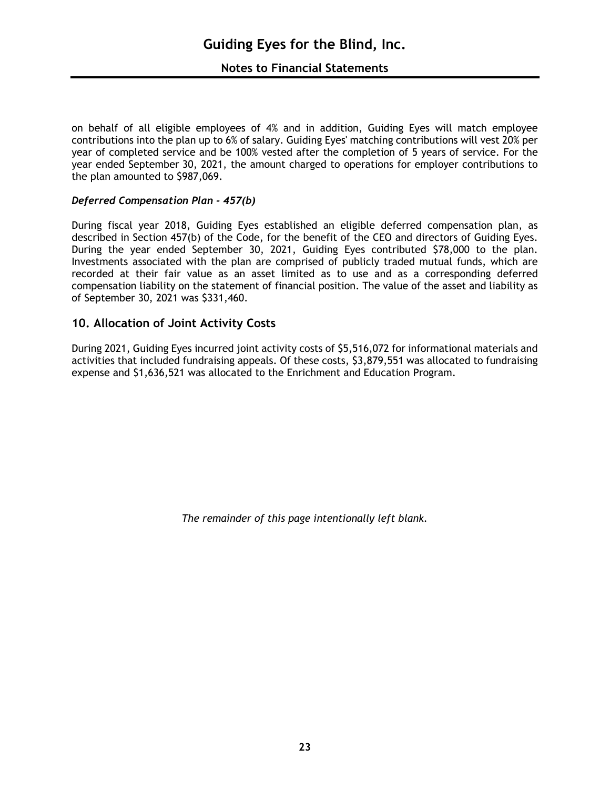on behalf of all eligible employees of 4% and in addition, Guiding Eyes will match employee contributions into the plan up to 6% of salary. Guiding Eyes' matching contributions will vest 20% per year of completed service and be 100% vested after the completion of 5 years of service. For the year ended September 30, 2021, the amount charged to operations for employer contributions to the plan amounted to \$987,069.

#### *Deferred Compensation Plan - 457(b)*

During fiscal year 2018, Guiding Eyes established an eligible deferred compensation plan, as described in Section 457(b) of the Code, for the benefit of the CEO and directors of Guiding Eyes. During the year ended September 30, 2021, Guiding Eyes contributed \$78,000 to the plan. Investments associated with the plan are comprised of publicly traded mutual funds, which are recorded at their fair value as an asset limited as to use and as a corresponding deferred compensation liability on the statement of financial position. The value of the asset and liability as of September 30, 2021 was \$331,460.

## **10. Allocation of Joint Activity Costs**

During 2021, Guiding Eyes incurred joint activity costs of \$5,516,072 for informational materials and activities that included fundraising appeals. Of these costs, \$3,879,551 was allocated to fundraising expense and \$1,636,521 was allocated to the Enrichment and Education Program.

*The remainder of this page intentionally left blank.*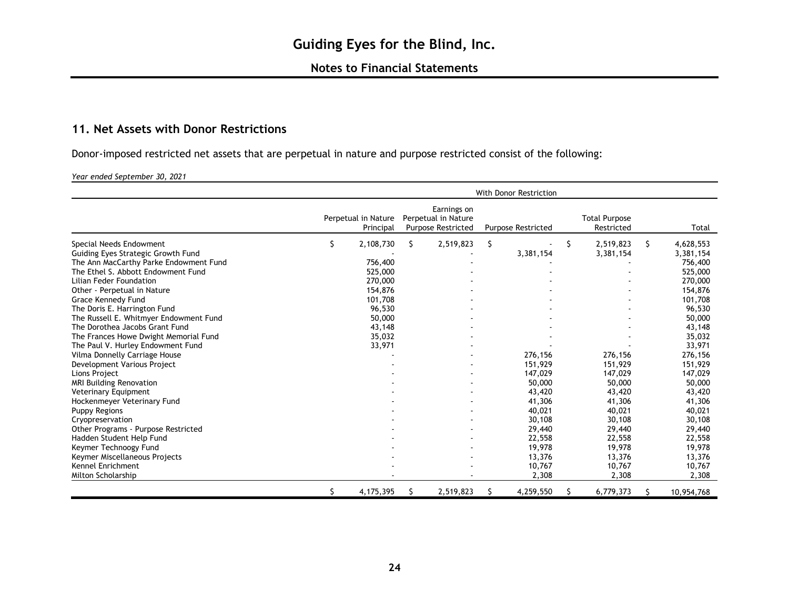## **11. Net Assets with Donor Restrictions**

Donor-imposed restricted net assets that are perpetual in nature and purpose restricted consist of the following:

*Year ended September 30, 2021*

|                                        | <b>With Donor Restriction</b> |                                  |   |                                                                 |                           |           |    |                                    |   |            |
|----------------------------------------|-------------------------------|----------------------------------|---|-----------------------------------------------------------------|---------------------------|-----------|----|------------------------------------|---|------------|
|                                        |                               | Perpetual in Nature<br>Principal |   | Earnings on<br>Perpetual in Nature<br><b>Purpose Restricted</b> | <b>Purpose Restricted</b> |           |    | <b>Total Purpose</b><br>Restricted |   | Total      |
| Special Needs Endowment                | \$                            | 2,108,730                        | S | 2,519,823                                                       | \$                        |           | \$ | 2,519,823                          | S | 4,628,553  |
| Guiding Eyes Strategic Growth Fund     |                               |                                  |   |                                                                 |                           | 3,381,154 |    | 3,381,154                          |   | 3,381,154  |
| The Ann MacCarthy Parke Endowment Fund |                               | 756,400                          |   |                                                                 |                           |           |    |                                    |   | 756,400    |
| The Ethel S. Abbott Endowment Fund     |                               | 525,000                          |   |                                                                 |                           |           |    |                                    |   | 525,000    |
| Lilian Feder Foundation                |                               | 270,000                          |   |                                                                 |                           |           |    |                                    |   | 270,000    |
| Other - Perpetual in Nature            |                               | 154,876                          |   |                                                                 |                           |           |    |                                    |   | 154,876    |
| Grace Kennedy Fund                     |                               | 101,708                          |   |                                                                 |                           |           |    |                                    |   | 101,708    |
| The Doris E. Harrington Fund           |                               | 96,530                           |   |                                                                 |                           |           |    |                                    |   | 96,530     |
| The Russell E. Whitmyer Endowment Fund |                               | 50,000                           |   |                                                                 |                           |           |    |                                    |   | 50,000     |
| The Dorothea Jacobs Grant Fund         |                               | 43,148                           |   |                                                                 |                           |           |    |                                    |   | 43,148     |
| The Frances Howe Dwight Memorial Fund  |                               | 35,032                           |   |                                                                 |                           |           |    |                                    |   | 35,032     |
| The Paul V. Hurley Endowment Fund      |                               | 33,971                           |   |                                                                 |                           |           |    |                                    |   | 33,971     |
| Vilma Donnelly Carriage House          |                               |                                  |   |                                                                 |                           | 276,156   |    | 276,156                            |   | 276,156    |
| Development Various Project            |                               |                                  |   |                                                                 |                           | 151,929   |    | 151,929                            |   | 151,929    |
| Lions Project                          |                               |                                  |   |                                                                 |                           | 147,029   |    | 147,029                            |   | 147,029    |
| <b>MRI Building Renovation</b>         |                               |                                  |   |                                                                 |                           | 50,000    |    | 50,000                             |   | 50,000     |
| <b>Veterinary Equipment</b>            |                               |                                  |   |                                                                 |                           | 43,420    |    | 43,420                             |   | 43,420     |
| Hockenmeyer Veterinary Fund            |                               |                                  |   |                                                                 |                           | 41,306    |    | 41,306                             |   | 41,306     |
| <b>Puppy Regions</b>                   |                               |                                  |   |                                                                 |                           | 40,021    |    | 40,021                             |   | 40,021     |
| Cryopreservation                       |                               |                                  |   |                                                                 |                           | 30,108    |    | 30,108                             |   | 30,108     |
| Other Programs - Purpose Restricted    |                               |                                  |   |                                                                 |                           | 29,440    |    | 29,440                             |   | 29,440     |
| Hadden Student Help Fund               |                               |                                  |   |                                                                 |                           | 22,558    |    | 22,558                             |   | 22,558     |
| Keymer Technoogy Fund                  |                               |                                  |   |                                                                 |                           | 19,978    |    | 19,978                             |   | 19,978     |
| Keymer Miscellaneous Projects          |                               |                                  |   |                                                                 |                           | 13,376    |    | 13,376                             |   | 13,376     |
| Kennel Enrichment                      |                               |                                  |   |                                                                 |                           | 10,767    |    | 10,767                             |   | 10,767     |
| Milton Scholarship                     |                               |                                  |   |                                                                 |                           | 2,308     |    | 2,308                              |   | 2,308      |
|                                        | \$                            | 4,175,395                        |   | 2,519,823                                                       | Ŝ                         | 4,259,550 | S  | 6,779,373                          |   | 10,954,768 |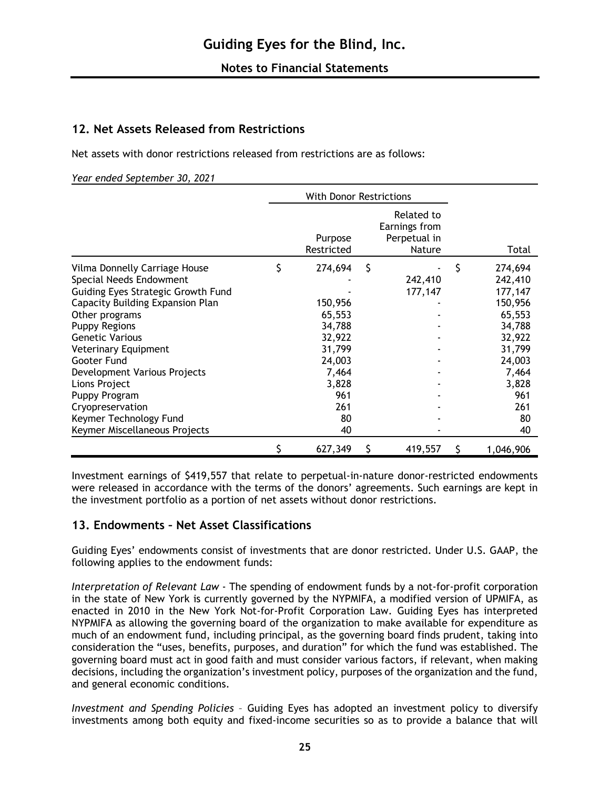## **12. Net Assets Released from Restrictions**

Net assets with donor restrictions released from restrictions are as follows:

*Year ended September 30, 2021*

|                                    |   | <b>With Donor Restrictions</b> |    |                                                              |                 |
|------------------------------------|---|--------------------------------|----|--------------------------------------------------------------|-----------------|
|                                    |   | Purpose<br>Restricted          |    | Related to<br>Earnings from<br>Perpetual in<br><b>Nature</b> | Total           |
| Vilma Donnelly Carriage House      | Ş | 274,694                        | \$ |                                                              | \$<br>274,694   |
| Special Needs Endowment            |   |                                |    | 242,410                                                      | 242,410         |
| Guiding Eyes Strategic Growth Fund |   |                                |    | 177,147                                                      | 177,147         |
| Capacity Building Expansion Plan   |   | 150,956                        |    |                                                              | 150,956         |
| Other programs                     |   | 65,553                         |    |                                                              | 65,553          |
| <b>Puppy Regions</b>               |   | 34,788                         |    |                                                              | 34,788          |
| <b>Genetic Various</b>             |   | 32,922                         |    |                                                              | 32,922          |
| Veterinary Equipment               |   | 31,799                         |    |                                                              | 31,799          |
| Gooter Fund                        |   | 24,003                         |    |                                                              | 24,003          |
| Development Various Projects       |   | 7,464                          |    |                                                              | 7,464           |
| Lions Project                      |   | 3,828                          |    |                                                              | 3,828           |
| Puppy Program                      |   | 961                            |    |                                                              | 961             |
| Cryopreservation                   |   | 261                            |    |                                                              | 261             |
| Keymer Technology Fund             |   | 80                             |    |                                                              | 80              |
| Keymer Miscellaneous Projects      |   | 40                             |    |                                                              | 40              |
|                                    |   | 627,349                        | S  | 419,557                                                      | \$<br>1,046,906 |

Investment earnings of \$419,557 that relate to perpetual-in-nature donor-restricted endowments were released in accordance with the terms of the donors' agreements. Such earnings are kept in the investment portfolio as a portion of net assets without donor restrictions.

## **13. Endowments – Net Asset Classifications**

Guiding Eyes' endowments consist of investments that are donor restricted. Under U.S. GAAP, the following applies to the endowment funds:

*Interpretation of Relevant Law* - The spending of endowment funds by a not-for-profit corporation in the state of New York is currently governed by the NYPMIFA, a modified version of UPMIFA, as enacted in 2010 in the New York Not-for-Profit Corporation Law. Guiding Eyes has interpreted NYPMIFA as allowing the governing board of the organization to make available for expenditure as much of an endowment fund, including principal, as the governing board finds prudent, taking into consideration the "uses, benefits, purposes, and duration" for which the fund was established. The governing board must act in good faith and must consider various factors, if relevant, when making decisions, including the organization's investment policy, purposes of the organization and the fund, and general economic conditions.

*Investment and Spending Policies* – Guiding Eyes has adopted an investment policy to diversify investments among both equity and fixed-income securities so as to provide a balance that will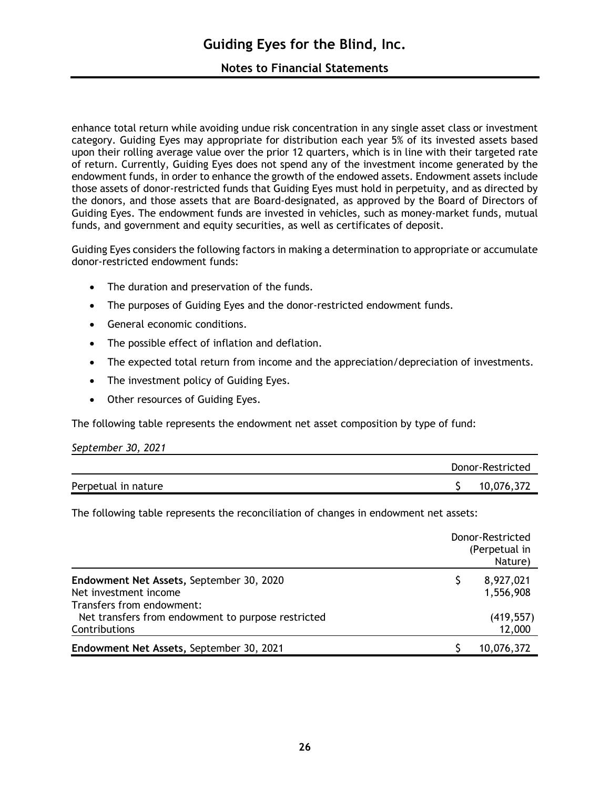enhance total return while avoiding undue risk concentration in any single asset class or investment category. Guiding Eyes may appropriate for distribution each year 5% of its invested assets based upon their rolling average value over the prior 12 quarters, which is in line with their targeted rate of return. Currently, Guiding Eyes does not spend any of the investment income generated by the endowment funds, in order to enhance the growth of the endowed assets. Endowment assets include those assets of donor-restricted funds that Guiding Eyes must hold in perpetuity, and as directed by the donors, and those assets that are Board-designated, as approved by the Board of Directors of Guiding Eyes. The endowment funds are invested in vehicles, such as money-market funds, mutual funds, and government and equity securities, as well as certificates of deposit.

Guiding Eyes considers the following factors in making a determination to appropriate or accumulate donor-restricted endowment funds:

- The duration and preservation of the funds.
- The purposes of Guiding Eyes and the donor-restricted endowment funds.
- General economic conditions.
- The possible effect of inflation and deflation.
- The expected total return from income and the appreciation/depreciation of investments.
- The investment policy of Guiding Eyes.
- Other resources of Guiding Eyes.

The following table represents the endowment net asset composition by type of fund:

| September 30, 2021  |                  |
|---------------------|------------------|
|                     | Donor-Restricted |
| Perpetual in nature | 10,076,372       |

The following table represents the reconciliation of changes in endowment net assets:

|                                                                                                | Donor-Restricted<br>(Perpetual in<br>Nature) |  |
|------------------------------------------------------------------------------------------------|----------------------------------------------|--|
| Endowment Net Assets, September 30, 2020<br>Net investment income<br>Transfers from endowment: | 8,927,021<br>1,556,908                       |  |
| Net transfers from endowment to purpose restricted<br>Contributions                            | (419, 557)<br>12,000                         |  |
| Endowment Net Assets, September 30, 2021                                                       | 10,076,372                                   |  |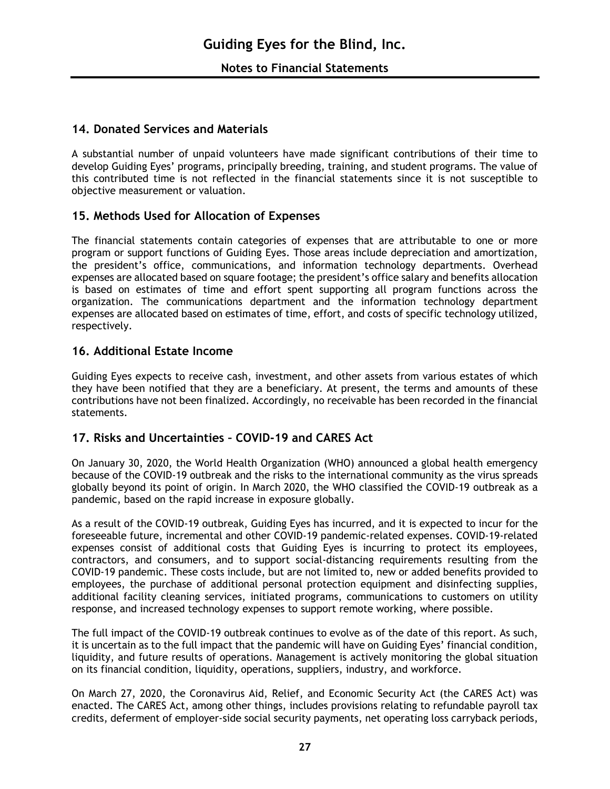## **14. Donated Services and Materials**

A substantial number of unpaid volunteers have made significant contributions of their time to develop Guiding Eyes' programs, principally breeding, training, and student programs. The value of this contributed time is not reflected in the financial statements since it is not susceptible to objective measurement or valuation.

## **15. Methods Used for Allocation of Expenses**

The financial statements contain categories of expenses that are attributable to one or more program or support functions of Guiding Eyes. Those areas include depreciation and amortization, the president's office, communications, and information technology departments. Overhead expenses are allocated based on square footage; the president's office salary and benefits allocation is based on estimates of time and effort spent supporting all program functions across the organization. The communications department and the information technology department expenses are allocated based on estimates of time, effort, and costs of specific technology utilized, respectively.

## **16. Additional Estate Income**

Guiding Eyes expects to receive cash, investment, and other assets from various estates of which they have been notified that they are a beneficiary. At present, the terms and amounts of these contributions have not been finalized. Accordingly, no receivable has been recorded in the financial statements.

## **17. Risks and Uncertainties – COVID-19 and CARES Act**

On January 30, 2020, the World Health Organization (WHO) announced a global health emergency because of the COVID-19 outbreak and the risks to the international community as the virus spreads globally beyond its point of origin. In March 2020, the WHO classified the COVID-19 outbreak as a pandemic, based on the rapid increase in exposure globally.

As a result of the COVID-19 outbreak, Guiding Eyes has incurred, and it is expected to incur for the foreseeable future, incremental and other COVID-19 pandemic-related expenses. COVID-19-related expenses consist of additional costs that Guiding Eyes is incurring to protect its employees, contractors, and consumers, and to support social-distancing requirements resulting from the COVID-19 pandemic. These costs include, but are not limited to, new or added benefits provided to employees, the purchase of additional personal protection equipment and disinfecting supplies, additional facility cleaning services, initiated programs, communications to customers on utility response, and increased technology expenses to support remote working, where possible.

The full impact of the COVID-19 outbreak continues to evolve as of the date of this report. As such, it is uncertain as to the full impact that the pandemic will have on Guiding Eyes' financial condition, liquidity, and future results of operations. Management is actively monitoring the global situation on its financial condition, liquidity, operations, suppliers, industry, and workforce.

On March 27, 2020, the Coronavirus Aid, Relief, and Economic Security Act (the CARES Act) was enacted. The CARES Act, among other things, includes provisions relating to refundable payroll tax credits, deferment of employer-side social security payments, net operating loss carryback periods,